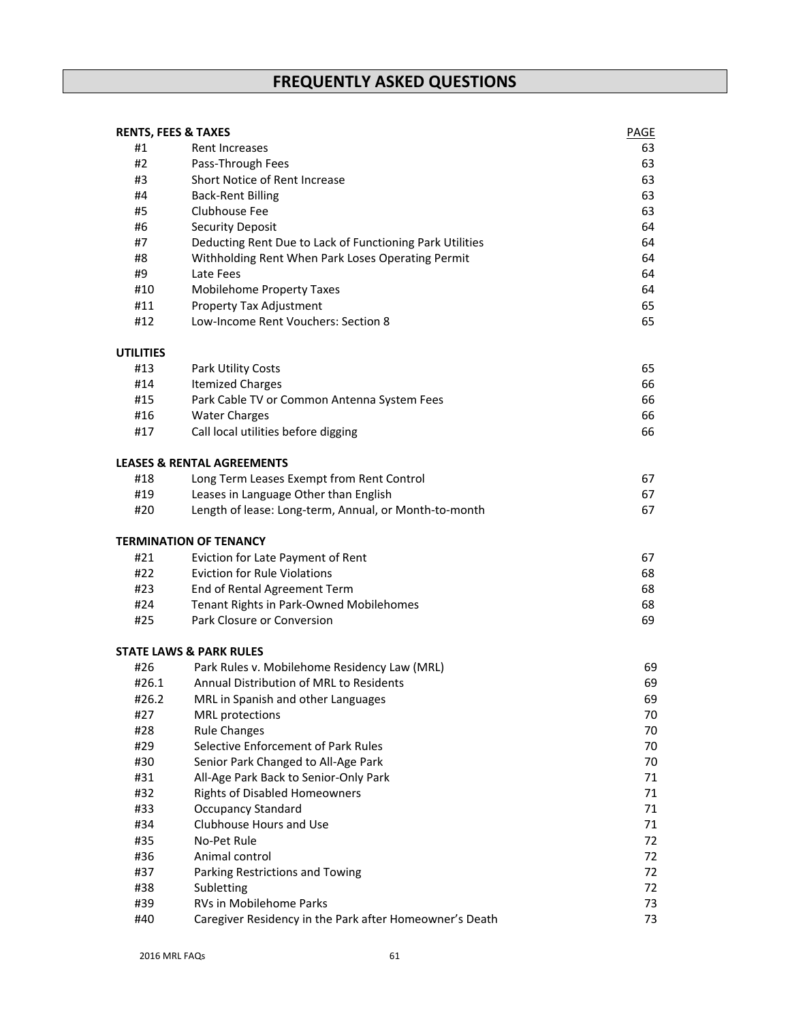# **FREQUENTLY ASKED QUESTIONS**

| <b>RENTS, FEES &amp; TAXES</b> |                                                          | PAGE |
|--------------------------------|----------------------------------------------------------|------|
| #1                             | <b>Rent Increases</b>                                    | 63   |
| #2                             | Pass-Through Fees                                        | 63   |
| #3                             | Short Notice of Rent Increase                            | 63   |
| #4                             | <b>Back-Rent Billing</b>                                 | 63   |
| #5                             | Clubhouse Fee                                            | 63   |
| #6                             | <b>Security Deposit</b>                                  | 64   |
| #7                             | Deducting Rent Due to Lack of Functioning Park Utilities | 64   |
| #8                             | Withholding Rent When Park Loses Operating Permit        | 64   |
| #9                             | Late Fees                                                | 64   |
| #10                            | <b>Mobilehome Property Taxes</b>                         | 64   |
| #11                            | Property Tax Adjustment                                  | 65   |
| #12                            | Low-Income Rent Vouchers: Section 8                      | 65   |
| <b>UTILITIES</b>               |                                                          |      |
| #13                            | Park Utility Costs                                       | 65   |
| #14                            | <b>Itemized Charges</b>                                  | 66   |
| #15                            | Park Cable TV or Common Antenna System Fees              | 66   |
| #16                            | <b>Water Charges</b>                                     | 66   |
| #17                            | Call local utilities before digging                      | 66   |
|                                | <b>LEASES &amp; RENTAL AGREEMENTS</b>                    |      |
| #18                            | Long Term Leases Exempt from Rent Control                | 67   |
| #19                            | Leases in Language Other than English                    | 67   |
| #20                            | Length of lease: Long-term, Annual, or Month-to-month    | 67   |
|                                | <b>TERMINATION OF TENANCY</b>                            |      |
| #21                            | Eviction for Late Payment of Rent                        | 67   |
| #22                            | <b>Eviction for Rule Violations</b>                      | 68   |
| #23                            | End of Rental Agreement Term                             | 68   |
| #24                            | Tenant Rights in Park-Owned Mobilehomes                  | 68   |
| #25                            | Park Closure or Conversion                               | 69   |
|                                | <b>STATE LAWS &amp; PARK RULES</b>                       |      |
| #26                            | Park Rules v. Mobilehome Residency Law (MRL)             | 69   |
| #26.1                          | Annual Distribution of MRL to Residents                  | 69   |
| #26.2                          | MRL in Spanish and other Languages                       | 69   |
| #27                            | MRL protections                                          | 70   |
| #28                            | <b>Rule Changes</b>                                      | 70   |
| #29                            | Selective Enforcement of Park Rules                      | 70   |
| #30                            | Senior Park Changed to All-Age Park                      | 70   |
| #31                            | All-Age Park Back to Senior-Only Park                    | 71   |
| #32                            | <b>Rights of Disabled Homeowners</b>                     | 71   |
| #33                            | <b>Occupancy Standard</b>                                | 71   |
| #34                            | Clubhouse Hours and Use                                  | 71   |
| #35                            | No-Pet Rule                                              | 72   |
| #36                            | Animal control                                           | 72   |
| #37                            | Parking Restrictions and Towing                          | 72   |
| #38                            | Subletting                                               | 72   |
| #39                            | <b>RVs in Mobilehome Parks</b>                           | 73   |
| #40                            | Caregiver Residency in the Park after Homeowner's Death  | 73   |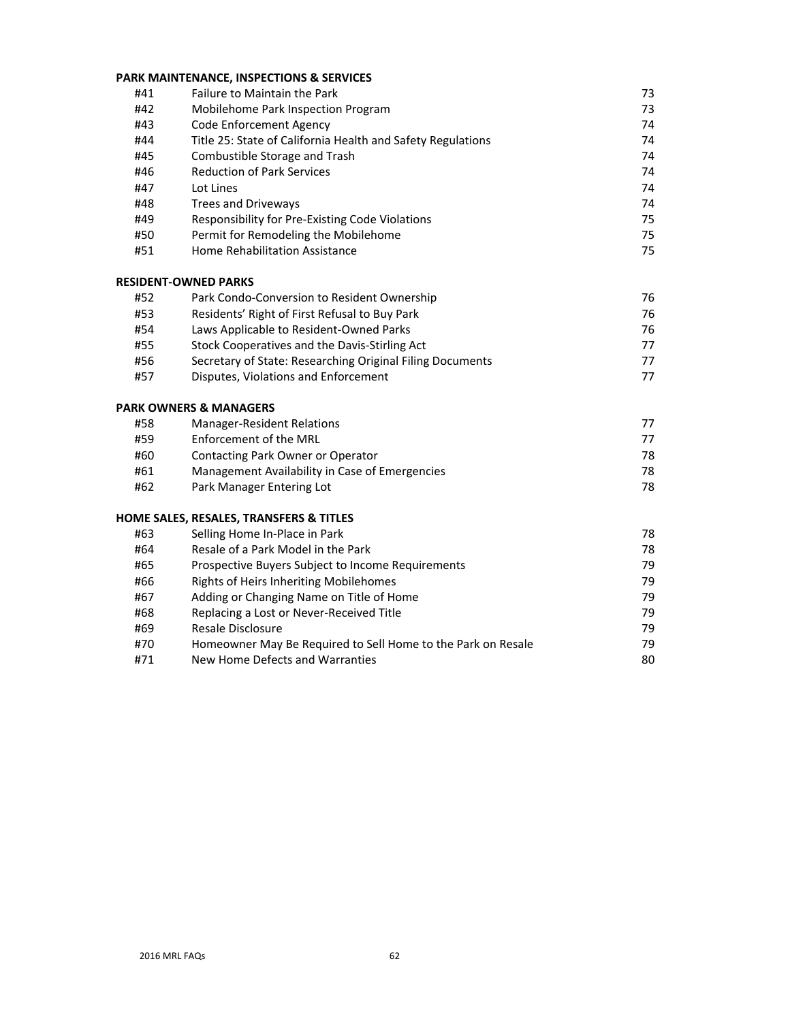## **PARK MAINTENANCE, INSPECTIONS & SERVICES**

|     | FANN IVIAIIV I EIVAIVUE, IIVSFEUTIUIVS & SENVIUES            |    |
|-----|--------------------------------------------------------------|----|
| #41 | Failure to Maintain the Park                                 | 73 |
| #42 | Mobilehome Park Inspection Program                           | 73 |
| #43 | Code Enforcement Agency                                      | 74 |
| #44 | Title 25: State of California Health and Safety Regulations  | 74 |
| #45 | Combustible Storage and Trash                                | 74 |
| #46 | <b>Reduction of Park Services</b>                            | 74 |
| #47 | Lot Lines                                                    | 74 |
| #48 | <b>Trees and Driveways</b>                                   | 74 |
| #49 | Responsibility for Pre-Existing Code Violations              | 75 |
| #50 | Permit for Remodeling the Mobilehome                         | 75 |
| #51 | Home Rehabilitation Assistance                               | 75 |
|     | <b>RESIDENT-OWNED PARKS</b>                                  |    |
| #52 | Park Condo-Conversion to Resident Ownership                  | 76 |
| #53 | Residents' Right of First Refusal to Buy Park                | 76 |
| #54 | Laws Applicable to Resident-Owned Parks                      | 76 |
| #55 | Stock Cooperatives and the Davis-Stirling Act                | 77 |
| #56 | Secretary of State: Researching Original Filing Documents    | 77 |
| #57 | Disputes, Violations and Enforcement                         | 77 |
|     | <b>PARK OWNERS &amp; MANAGERS</b>                            |    |
| #58 | <b>Manager-Resident Relations</b>                            | 77 |
| #59 | <b>Enforcement of the MRL</b>                                | 77 |
| #60 | Contacting Park Owner or Operator                            | 78 |
| #61 | Management Availability in Case of Emergencies               | 78 |
| #62 | Park Manager Entering Lot                                    | 78 |
|     | HOME SALES, RESALES, TRANSFERS & TITLES                      |    |
| #63 | Selling Home In-Place in Park                                | 78 |
| #64 | Resale of a Park Model in the Park                           | 78 |
| #65 | Prospective Buyers Subject to Income Requirements            | 79 |
| #66 | Rights of Heirs Inheriting Mobilehomes                       | 79 |
| #67 | Adding or Changing Name on Title of Home                     | 79 |
| #68 | Replacing a Lost or Never-Received Title                     | 79 |
| #69 | Resale Disclosure                                            | 79 |
| #70 | Homeowner May Be Required to Sell Home to the Park on Resale | 79 |

#71 New Home Defects and Warranties 80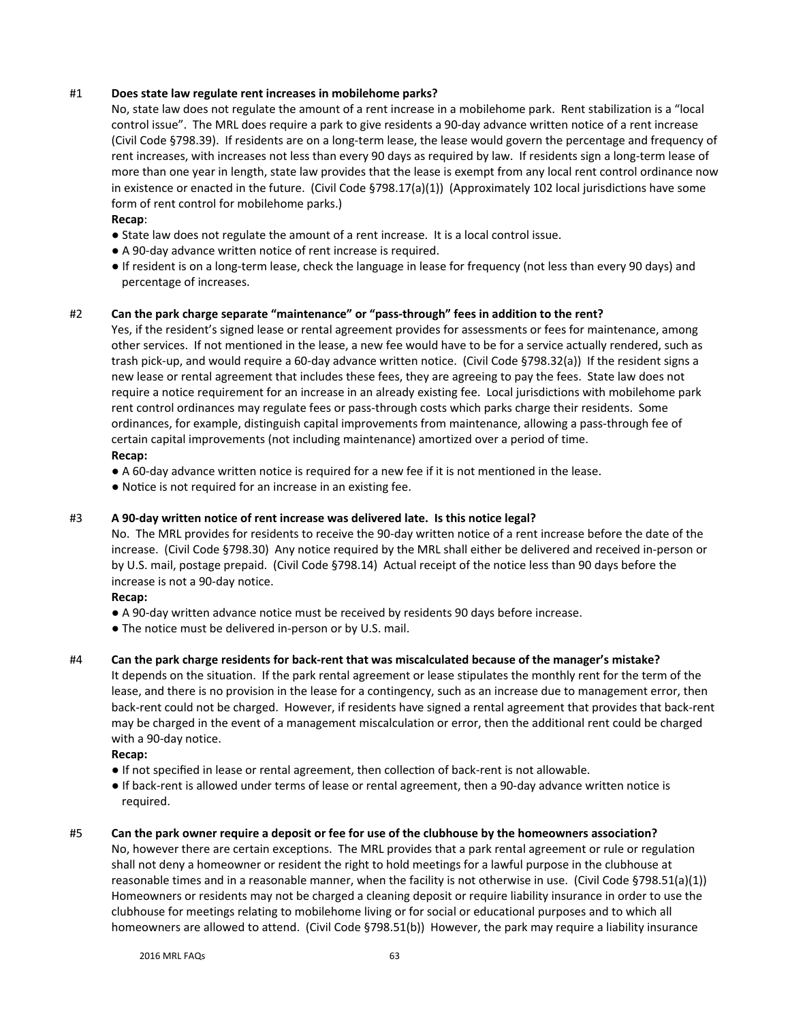#### #1 **Does state law regulate rent increases in mobilehome parks?**

 No, state law does not regulate the amount of a rent increase in a mobilehome park. Rent stabilization is a "local control issue". The MRL does require a park to give residents a 90-day advance written notice of a rent increase (Civil Code §798.39). If residents are on a long-term lease, the lease would govern the percentage and frequency of rent increases, with increases not less than every 90 days as required by law. If residents sign a long-term lease of more than one year in length, state law provides that the lease is exempt from any local rent control ordinance now in existence or enacted in the future. (Civil Code §798.17(a)(1)) (Approximately 102 local jurisdictions have some form of rent control for mobilehome parks.)

#### **Recap**:

- State law does not regulate the amount of a rent increase. It is a local control issue.
- A 90-day advance written notice of rent increase is required.
- If resident is on a long-term lease, check the language in lease for frequency (not less than every 90 days) and percentage of increases.

#### #2 **Can the park charge separate "maintenance" or "pass-through" fees in addition to the rent?**

 Yes, if the resident's signed lease or rental agreement provides for assessments or fees for maintenance, among other services. If not mentioned in the lease, a new fee would have to be for a service actually rendered, such as trash pick-up, and would require a 60-day advance written notice. (Civil Code §798.32(a)) If the resident signs a new lease or rental agreement that includes these fees, they are agreeing to pay the fees. State law does not require a notice requirement for an increase in an already existing fee. Local jurisdictions with mobilehome park rent control ordinances may regulate fees or pass-through costs which parks charge their residents. Some ordinances, for example, distinguish capital improvements from maintenance, allowing a pass-through fee of certain capital improvements (not including maintenance) amortized over a period of time. **Recap:** 

- A 60-day advance written notice is required for a new fee if it is not mentioned in the lease.
- NoƟce is not required for an increase in an existing fee.

#### #3 **A 90-day written notice of rent increase was delivered late. Is this notice legal?**

 No. The MRL provides for residents to receive the 90-day written notice of a rent increase before the date of the increase. (Civil Code §798.30) Any notice required by the MRL shall either be delivered and received in-person or by U.S. mail, postage prepaid. (Civil Code §798.14) Actual receipt of the notice less than 90 days before the increase is not a 90-day notice.

#### **Recap:**

- A 90-day written advance notice must be received by residents 90 days before increase.
- The notice must be delivered in-person or by U.S. mail.

#### #4 **Can the park charge residents for back-rent that was miscalculated because of the manager's mistake?**

 It depends on the situation. If the park rental agreement or lease stipulates the monthly rent for the term of the lease, and there is no provision in the lease for a contingency, such as an increase due to management error, then back-rent could not be charged. However, if residents have signed a rental agreement that provides that back-rent may be charged in the event of a management miscalculation or error, then the additional rent could be charged with a 90-day notice.

#### **Recap:**

- $\bullet$  If not specified in lease or rental agreement, then collection of back-rent is not allowable.
- If back-rent is allowed under terms of lease or rental agreement, then a 90-day advance written notice is required.

#### #5 **Can the park owner require a deposit or fee for use of the clubhouse by the homeowners association?**

 No, however there are certain exceptions. The MRL provides that a park rental agreement or rule or regulation shall not deny a homeowner or resident the right to hold meetings for a lawful purpose in the clubhouse at reasonable times and in a reasonable manner, when the facility is not otherwise in use. (Civil Code §798.51(a)(1)) Homeowners or residents may not be charged a cleaning deposit or require liability insurance in order to use the clubhouse for meetings relating to mobilehome living or for social or educational purposes and to which all homeowners are allowed to attend. (Civil Code §798.51(b)) However, the park may require a liability insurance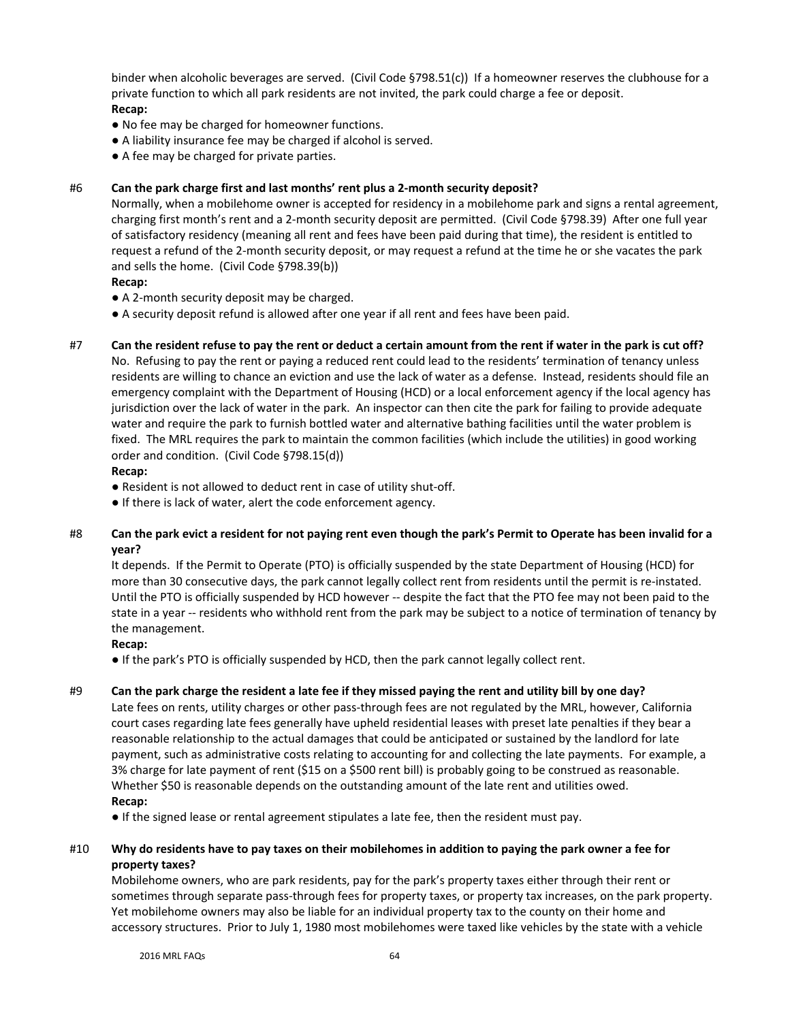binder when alcoholic beverages are served. (Civil Code §798.51(c)) If a homeowner reserves the clubhouse for a private function to which all park residents are not invited, the park could charge a fee or deposit. **Recap:** 

- No fee may be charged for homeowner functions.
- A liability insurance fee may be charged if alcohol is served.
- A fee may be charged for private parties.

#### #6 **Can the park charge first and last months' rent plus a 2-month security deposit?**

 Normally, when a mobilehome owner is accepted for residency in a mobilehome park and signs a rental agreement, charging first month's rent and a 2-month security deposit are permitted. (Civil Code §798.39) After one full year of satisfactory residency (meaning all rent and fees have been paid during that time), the resident is entitled to request a refund of the 2-month security deposit, or may request a refund at the time he or she vacates the park and sells the home. (Civil Code §798.39(b))

## **Recap:**

● A 2-month security deposit may be charged.

● A security deposit refund is allowed after one year if all rent and fees have been paid.

#7 **Can the resident refuse to pay the rent or deduct a certain amount from the rent if water in the park is cut off?** No. Refusing to pay the rent or paying a reduced rent could lead to the residents' termination of tenancy unless residents are willing to chance an eviction and use the lack of water as a defense. Instead, residents should file an emergency complaint with the Department of Housing (HCD) or a local enforcement agency if the local agency has jurisdiction over the lack of water in the park. An inspector can then cite the park for failing to provide adequate water and require the park to furnish bottled water and alternative bathing facilities until the water problem is fixed. The MRL requires the park to maintain the common facilities (which include the utilities) in good working order and condition. (Civil Code §798.15(d))

#### **Recap:**

● Resident is not allowed to deduct rent in case of utility shut-off.

● If there is lack of water, alert the code enforcement agency.

#### #8 **Can the park evict a resident for not paying rent even though the park's Permit to Operate has been invalid for a year?**

 It depends. If the Permit to Operate (PTO) is officially suspended by the state Department of Housing (HCD) for more than 30 consecutive days, the park cannot legally collect rent from residents until the permit is re-instated. Until the PTO is officially suspended by HCD however -- despite the fact that the PTO fee may not been paid to the state in a year -- residents who withhold rent from the park may be subject to a notice of termination of tenancy by the management.

#### **Recap:**

● If the park's PTO is officially suspended by HCD, then the park cannot legally collect rent.

#### #9 **Can the park charge the resident a late fee if they missed paying the rent and utility bill by one day?**

 Late fees on rents, utility charges or other pass-through fees are not regulated by the MRL, however, California court cases regarding late fees generally have upheld residential leases with preset late penalties if they bear a reasonable relationship to the actual damages that could be anticipated or sustained by the landlord for late payment, such as administrative costs relating to accounting for and collecting the late payments. For example, a 3% charge for late payment of rent (\$15 on a \$500 rent bill) is probably going to be construed as reasonable. Whether \$50 is reasonable depends on the outstanding amount of the late rent and utilities owed. **Recap:** 

● If the signed lease or rental agreement stipulates a late fee, then the resident must pay.

## #10 **Why do residents have to pay taxes on their mobilehomes in addition to paying the park owner a fee for property taxes?**

 Mobilehome owners, who are park residents, pay for the park's property taxes either through their rent or sometimes through separate pass-through fees for property taxes, or property tax increases, on the park property. Yet mobilehome owners may also be liable for an individual property tax to the county on their home and accessory structures. Prior to July 1, 1980 most mobilehomes were taxed like vehicles by the state with a vehicle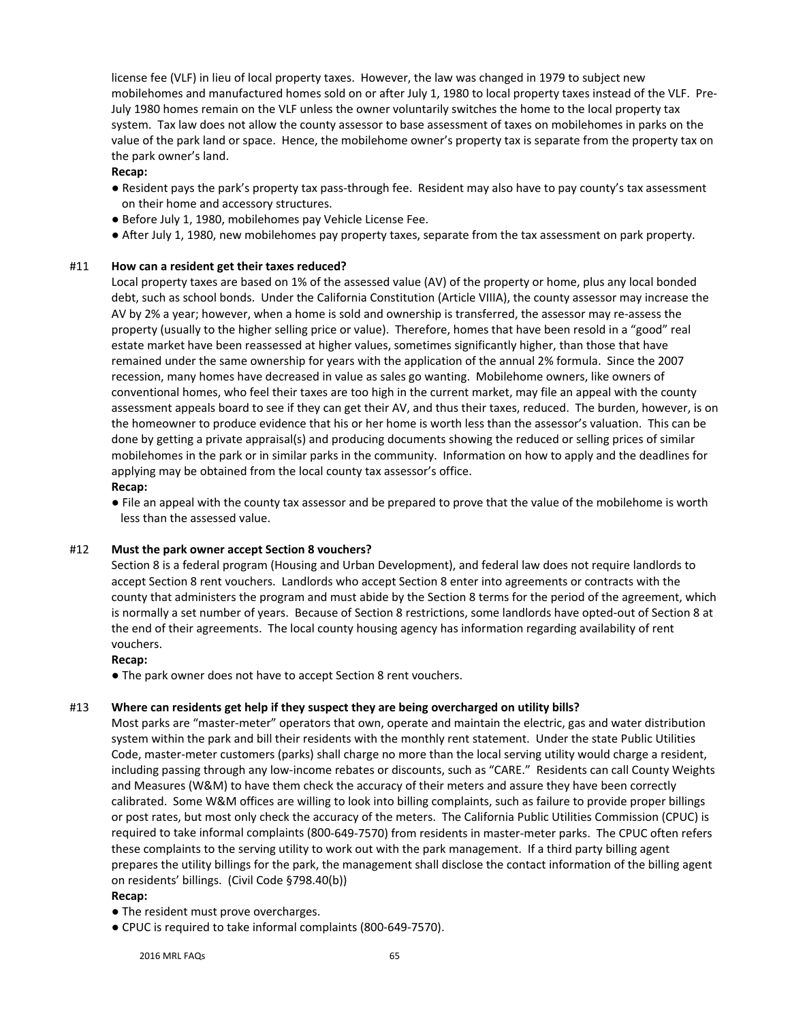license fee (VLF) in lieu of local property taxes. However, the law was changed in 1979 to subject new mobilehomes and manufactured homes sold on or after July 1, 1980 to local property taxes instead of the VLF. Pre-July 1980 homes remain on the VLF unless the owner voluntarily switches the home to the local property tax system. Tax law does not allow the county assessor to base assessment of taxes on mobilehomes in parks on the value of the park land or space. Hence, the mobilehome owner's property tax is separate from the property tax on the park owner's land.

#### **Recap:**

- Resident pays the park's property tax pass-through fee. Resident may also have to pay county's tax assessment on their home and accessory structures.
- Before July 1, 1980, mobilehomes pay Vehicle License Fee.
- After July 1, 1980, new mobilehomes pay property taxes, separate from the tax assessment on park property.

#### #11 **How can a resident get their taxes reduced?**

 Local property taxes are based on 1% of the assessed value (AV) of the property or home, plus any local bonded debt, such as school bonds. Under the California Constitution (Article VIIIA), the county assessor may increase the AV by 2% a year; however, when a home is sold and ownership is transferred, the assessor may re-assess the property (usually to the higher selling price or value). Therefore, homes that have been resold in a "good" real estate market have been reassessed at higher values, sometimes significantly higher, than those that have remained under the same ownership for years with the application of the annual 2% formula. Since the 2007 recession, many homes have decreased in value as sales go wanting. Mobilehome owners, like owners of conventional homes, who feel their taxes are too high in the current market, may file an appeal with the county assessment appeals board to see if they can get their AV, and thus their taxes, reduced. The burden, however, is on the homeowner to produce evidence that his or her home is worth less than the assessor's valuation. This can be done by getting a private appraisal(s) and producing documents showing the reduced or selling prices of similar mobilehomes in the park or in similar parks in the community. Information on how to apply and the deadlines for applying may be obtained from the local county tax assessor's office. **Recap:** 

● File an appeal with the county tax assessor and be prepared to prove that the value of the mobilehome is worth less than the assessed value.

#### #12 **Must the park owner accept Section 8 vouchers?**

 Section 8 is a federal program (Housing and Urban Development), and federal law does not require landlords to accept Section 8 rent vouchers. Landlords who accept Section 8 enter into agreements or contracts with the county that administers the program and must abide by the Section 8 terms for the period of the agreement, which is normally a set number of years. Because of Section 8 restrictions, some landlords have opted-out of Section 8 at the end of their agreements. The local county housing agency has information regarding availability of rent vouchers.

#### **Recap:**

● The park owner does not have to accept Section 8 rent vouchers.

#### #13 **Where can residents get help if they suspect they are being overcharged on utility bills?**

 Most parks are "master-meter" operators that own, operate and maintain the electric, gas and water distribution system within the park and bill their residents with the monthly rent statement. Under the state Public Utilities Code, master-meter customers (parks) shall charge no more than the local serving utility would charge a resident, including passing through any low-income rebates or discounts, such as "CARE." Residents can call County Weights and Measures (W&M) to have them check the accuracy of their meters and assure they have been correctly calibrated. Some W&M offices are willing to look into billing complaints, such as failure to provide proper billings or post rates, but most only check the accuracy of the meters. The California Public Utilities Commission (CPUC) is required to take informal complaints (800-649-7570) from residents in master-meter parks. The CPUC often refers these complaints to the serving utility to work out with the park management. If a third party billing agent prepares the utility billings for the park, the management shall disclose the contact information of the billing agent on residents' billings. (Civil Code §798.40(b))

- The resident must prove overcharges.
- CPUC is required to take informal complaints (800-649-7570).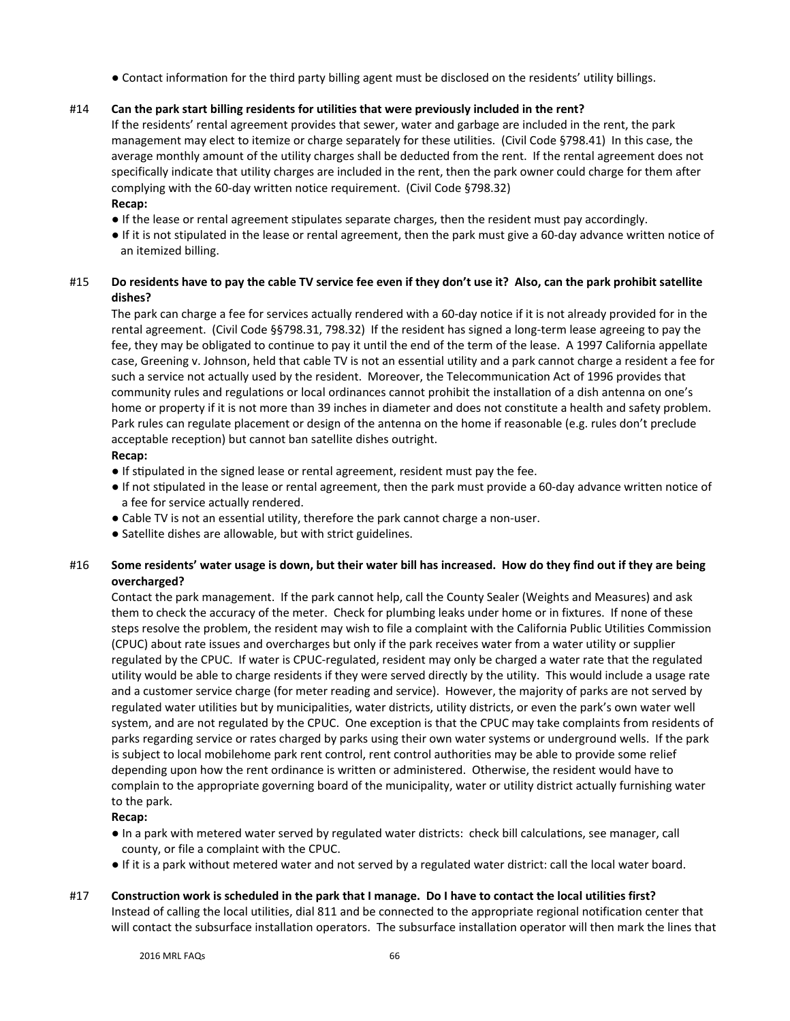● Contact informaƟon for the third party billing agent must be disclosed on the residents' utility billings.

## #14 **Can the park start billing residents for utilities that were previously included in the rent?**

 If the residents' rental agreement provides that sewer, water and garbage are included in the rent, the park management may elect to itemize or charge separately for these utilities. (Civil Code §798.41) In this case, the average monthly amount of the utility charges shall be deducted from the rent. If the rental agreement does not specifically indicate that utility charges are included in the rent, then the park owner could charge for them after complying with the 60-day written notice requirement. (Civil Code §798.32)

## **Recap:**

- If the lease or rental agreement stipulates separate charges, then the resident must pay accordingly.
- If it is not stipulated in the lease or rental agreement, then the park must give a 60-day advance written notice of an itemized billing.

## #15 **Do residents have to pay the cable TV service fee even if they don't use it? Also, can the park prohibit satellite dishes?**

 The park can charge a fee for services actually rendered with a 60-day notice if it is not already provided for in the rental agreement. (Civil Code §§798.31, 798.32) If the resident has signed a long-term lease agreeing to pay the fee, they may be obligated to continue to pay it until the end of the term of the lease. A 1997 California appellate case, Greening v. Johnson, held that cable TV is not an essential utility and a park cannot charge a resident a fee for such a service not actually used by the resident. Moreover, the Telecommunication Act of 1996 provides that community rules and regulations or local ordinances cannot prohibit the installation of a dish antenna on one's home or property if it is not more than 39 inches in diameter and does not constitute a health and safety problem. Park rules can regulate placement or design of the antenna on the home if reasonable (e.g. rules don't preclude acceptable reception) but cannot ban satellite dishes outright.

## **Recap:**

- If stipulated in the signed lease or rental agreement, resident must pay the fee.
- If not sƟpulated in the lease or rental agreement, then the park must provide a 60-day advance written notice of a fee for service actually rendered.
- Cable TV is not an essential utility, therefore the park cannot charge a non-user.
- Satellite dishes are allowable, but with strict guidelines.

## #16 **Some residents' water usage is down, but their water bill has increased. How do they find out if they are being overcharged?**

 Contact the park management. If the park cannot help, call the County Sealer (Weights and Measures) and ask them to check the accuracy of the meter. Check for plumbing leaks under home or in fixtures. If none of these steps resolve the problem, the resident may wish to file a complaint with the California Public Utilities Commission (CPUC) about rate issues and overcharges but only if the park receives water from a water utility or supplier regulated by the CPUC. If water is CPUC-regulated, resident may only be charged a water rate that the regulated utility would be able to charge residents if they were served directly by the utility. This would include a usage rate and a customer service charge (for meter reading and service). However, the majority of parks are not served by regulated water utilities but by municipalities, water districts, utility districts, or even the park's own water well system, and are not regulated by the CPUC. One exception is that the CPUC may take complaints from residents of parks regarding service or rates charged by parks using their own water systems or underground wells. If the park is subject to local mobilehome park rent control, rent control authorities may be able to provide some relief depending upon how the rent ordinance is written or administered. Otherwise, the resident would have to complain to the appropriate governing board of the municipality, water or utility district actually furnishing water to the park.

- In a park with metered water served by regulated water districts: check bill calculations, see manager, call county, or file a complaint with the CPUC.
- If it is a park without metered water and not served by a regulated water district: call the local water board.
- #17 **Construction work is scheduled in the park that I manage. Do I have to contact the local utilities first?** Instead of calling the local utilities, dial 811 and be connected to the appropriate regional notification center that will contact the subsurface installation operators. The subsurface installation operator will then mark the lines that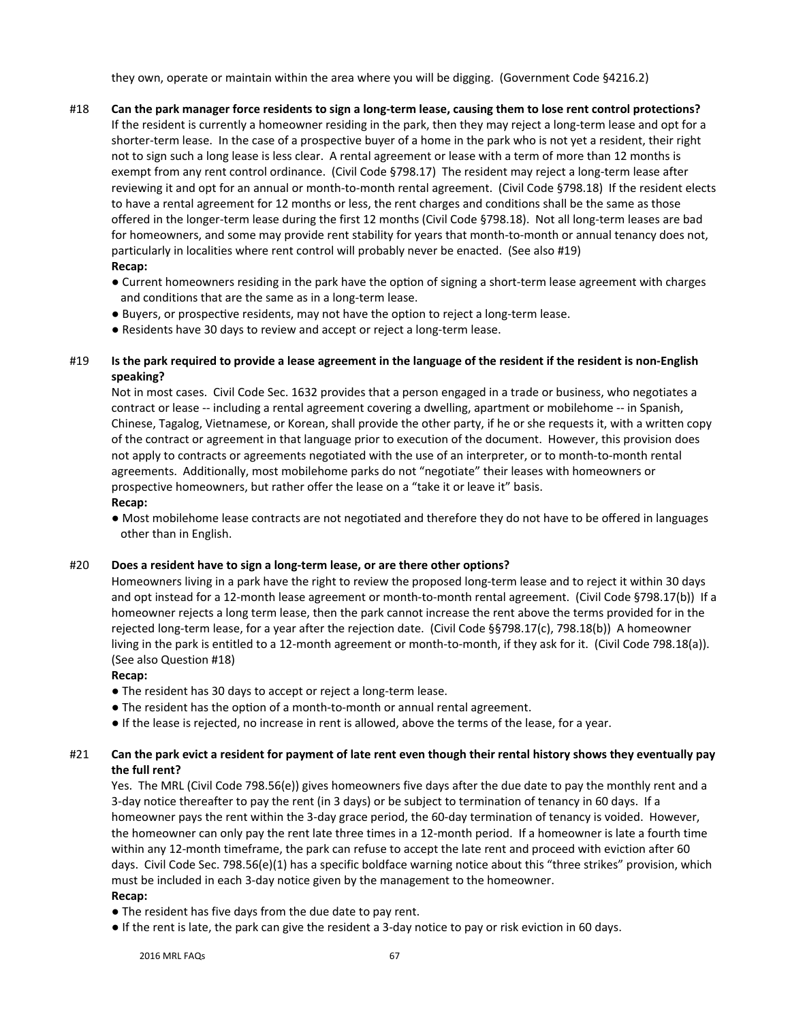they own, operate or maintain within the area where you will be digging. (Government Code §4216.2)

- #18 **Can the park manager force residents to sign a long-term lease, causing them to lose rent control protections?** If the resident is currently a homeowner residing in the park, then they may reject a long-term lease and opt for a shorter-term lease. In the case of a prospective buyer of a home in the park who is not yet a resident, their right not to sign such a long lease is less clear. A rental agreement or lease with a term of more than 12 months is exempt from any rent control ordinance. (Civil Code §798.17) The resident may reject a long-term lease after reviewing it and opt for an annual or month-to-month rental agreement. (Civil Code §798.18) If the resident elects to have a rental agreement for 12 months or less, the rent charges and conditions shall be the same as those offered in the longer-term lease during the first 12 months (Civil Code §798.18). Not all long-term leases are bad for homeowners, and some may provide rent stability for years that month-to-month or annual tenancy does not, particularly in localities where rent control will probably never be enacted. (See also #19) **Recap:** 
	- Current homeowners residing in the park have the option of signing a short-term lease agreement with charges and conditions that are the same as in a long-term lease.
	- Buyers, or prospective residents, may not have the option to reject a long-term lease.
	- Residents have 30 days to review and accept or reject a long-term lease.
- #19 **Is the park required to provide a lease agreement in the language of the resident if the resident is non-English speaking?**

 Not in most cases. Civil Code Sec. 1632 provides that a person engaged in a trade or business, who negotiates a contract or lease -- including a rental agreement covering a dwelling, apartment or mobilehome -- in Spanish, Chinese, Tagalog, Vietnamese, or Korean, shall provide the other party, if he or she requests it, with a written copy of the contract or agreement in that language prior to execution of the document. However, this provision does not apply to contracts or agreements negotiated with the use of an interpreter, or to month-to-month rental agreements. Additionally, most mobilehome parks do not "negotiate" their leases with homeowners or prospective homeowners, but rather offer the lease on a "take it or leave it" basis. **Recap:** 

• Most mobilehome lease contracts are not negotiated and therefore they do not have to be offered in languages other than in English.

## #20 **Does a resident have to sign a long-term lease, or are there other options?**

 Homeowners living in a park have the right to review the proposed long-term lease and to reject it within 30 days and opt instead for a 12-month lease agreement or month-to-month rental agreement. (Civil Code §798.17(b)) If a homeowner rejects a long term lease, then the park cannot increase the rent above the terms provided for in the rejected long-term lease, for a year after the rejection date. (Civil Code §§798.17(c), 798.18(b)) A homeowner living in the park is entitled to a 12-month agreement or month-to-month, if they ask for it. (Civil Code 798.18(a)). (See also Question #18)

## **Recap:**

- The resident has 30 days to accept or reject a long-term lease.
- The resident has the option of a month-to-month or annual rental agreement.
- If the lease is rejected, no increase in rent is allowed, above the terms of the lease, for a year.

## #21 **Can the park evict a resident for payment of late rent even though their rental history shows they eventually pay the full rent?**

 Yes. The MRL (Civil Code 798.56(e)) gives homeowners five days after the due date to pay the monthly rent and a 3-day notice thereafter to pay the rent (in 3 days) or be subject to termination of tenancy in 60 days. If a homeowner pays the rent within the 3-day grace period, the 60-day termination of tenancy is voided. However, the homeowner can only pay the rent late three times in a 12-month period. If a homeowner is late a fourth time within any 12-month timeframe, the park can refuse to accept the late rent and proceed with eviction after 60 days. Civil Code Sec. 798.56(e)(1) has a specific boldface warning notice about this "three strikes" provision, which must be included in each 3-day notice given by the management to the homeowner. **Recap:** 

- The resident has five days from the due date to pay rent.
- If the rent is late, the park can give the resident a 3-day notice to pay or risk eviction in 60 days.

2016 MRL FAQs 67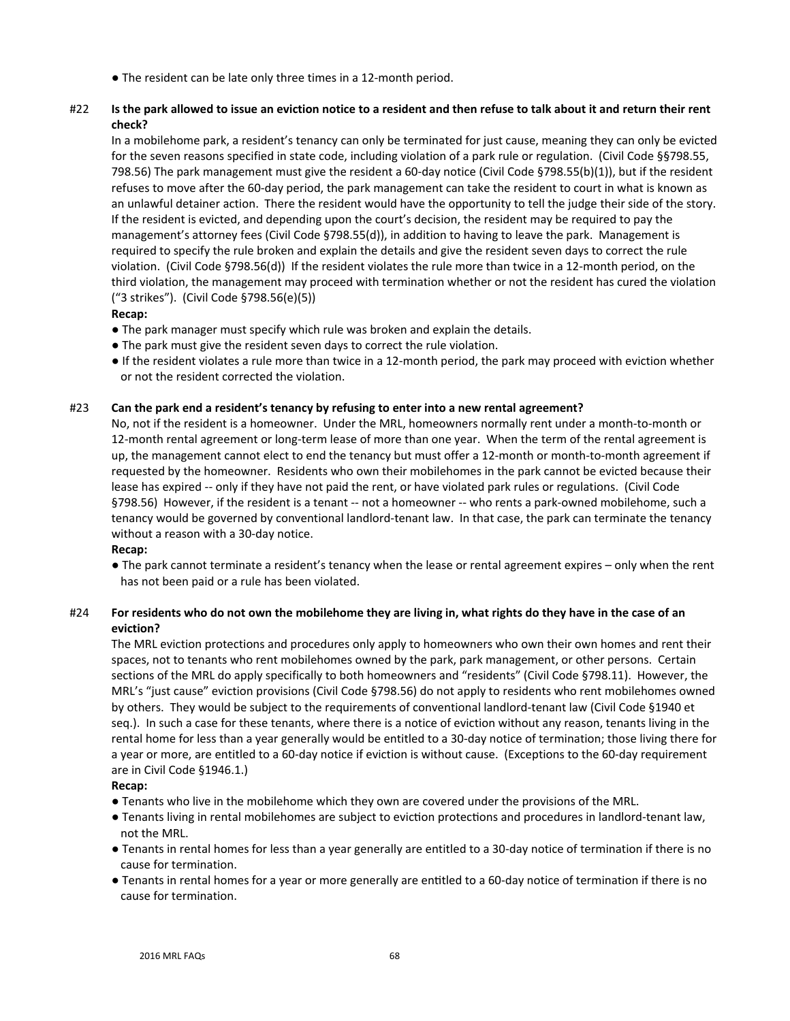● The resident can be late only three times in a 12-month period.

## #22 **Is the park allowed to issue an eviction notice to a resident and then refuse to talk about it and return their rent check?**

 In a mobilehome park, a resident's tenancy can only be terminated for just cause, meaning they can only be evicted for the seven reasons specified in state code, including violation of a park rule or regulation. (Civil Code §§798.55, 798.56) The park management must give the resident a 60-day notice (Civil Code §798.55(b)(1)), but if the resident refuses to move after the 60-day period, the park management can take the resident to court in what is known as an unlawful detainer action. There the resident would have the opportunity to tell the judge their side of the story. If the resident is evicted, and depending upon the court's decision, the resident may be required to pay the management's attorney fees (Civil Code §798.55(d)), in addition to having to leave the park. Management is required to specify the rule broken and explain the details and give the resident seven days to correct the rule violation. (Civil Code §798.56(d)) If the resident violates the rule more than twice in a 12-month period, on the third violation, the management may proceed with termination whether or not the resident has cured the violation ("3 strikes"). (Civil Code §798.56(e)(5))

## **Recap:**

- The park manager must specify which rule was broken and explain the details.
- The park must give the resident seven days to correct the rule violation.
- If the resident violates a rule more than twice in a 12-month period, the park may proceed with eviction whether or not the resident corrected the violation.

#### #23 **Can the park end a resident's tenancy by refusing to enter into a new rental agreement?**

 No, not if the resident is a homeowner. Under the MRL, homeowners normally rent under a month-to-month or 12-month rental agreement or long-term lease of more than one year. When the term of the rental agreement is up, the management cannot elect to end the tenancy but must offer a 12-month or month-to-month agreement if requested by the homeowner. Residents who own their mobilehomes in the park cannot be evicted because their lease has expired -- only if they have not paid the rent, or have violated park rules or regulations. (Civil Code §798.56) However, if the resident is a tenant -- not a homeowner -- who rents a park-owned mobilehome, such a tenancy would be governed by conventional landlord-tenant law. In that case, the park can terminate the tenancy without a reason with a 30-day notice.

#### **Recap:**

● The park cannot terminate a resident's tenancy when the lease or rental agreement expires – only when the rent has not been paid or a rule has been violated.

## #24 **For residents who do not own the mobilehome they are living in, what rights do they have in the case of an eviction?**

 The MRL eviction protections and procedures only apply to homeowners who own their own homes and rent their spaces, not to tenants who rent mobilehomes owned by the park, park management, or other persons. Certain sections of the MRL do apply specifically to both homeowners and "residents" (Civil Code §798.11). However, the MRL's "just cause" eviction provisions (Civil Code §798.56) do not apply to residents who rent mobilehomes owned by others. They would be subject to the requirements of conventional landlord-tenant law (Civil Code §1940 et seq.). In such a case for these tenants, where there is a notice of eviction without any reason, tenants living in the rental home for less than a year generally would be entitled to a 30-day notice of termination; those living there for a year or more, are entitled to a 60-day notice if eviction is without cause. (Exceptions to the 60-day requirement are in Civil Code §1946.1.)

- Tenants who live in the mobilehome which they own are covered under the provisions of the MRL.
- Tenants living in rental mobilehomes are subject to eviction protections and procedures in landlord-tenant law, not the MRL.
- Tenants in rental homes for less than a year generally are entitled to a 30-day notice of termination if there is no cause for termination.
- Tenants in rental homes for a year or more generally are entitled to a 60-day notice of termination if there is no cause for termination.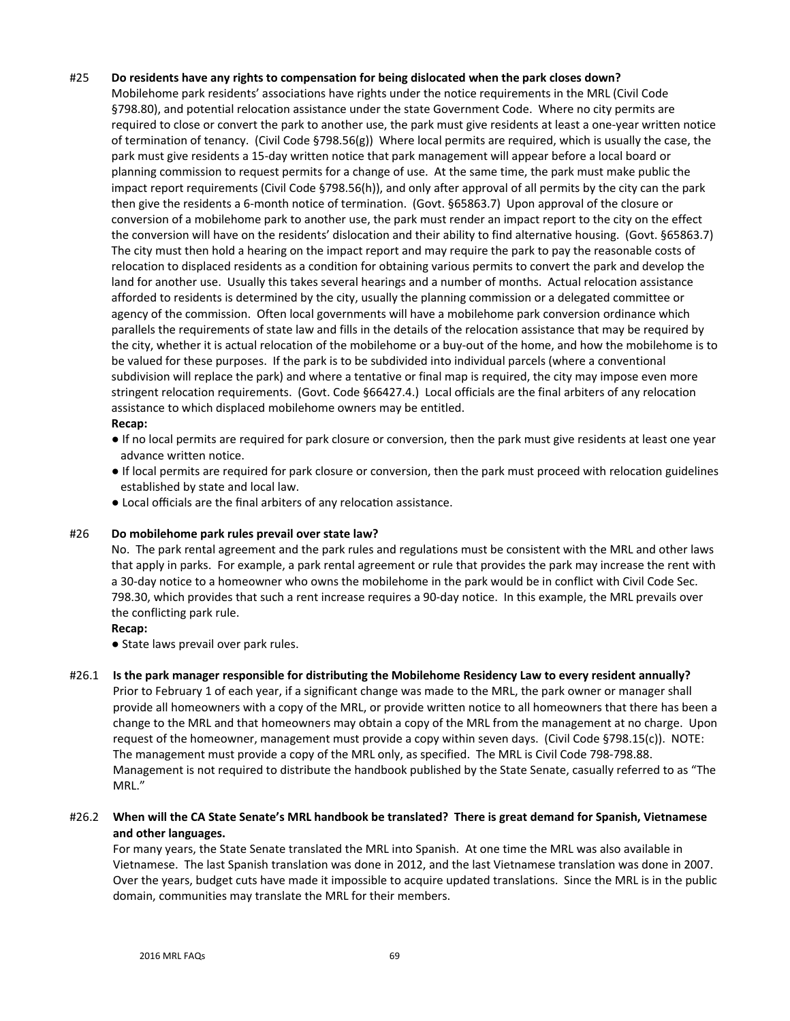#### #25 **Do residents have any rights to compensation for being dislocated when the park closes down?**

 Mobilehome park residents' associations have rights under the notice requirements in the MRL (Civil Code §798.80), and potential relocation assistance under the state Government Code. Where no city permits are required to close or convert the park to another use, the park must give residents at least a one-year written notice of termination of tenancy. (Civil Code §798.56(g)) Where local permits are required, which is usually the case, the park must give residents a 15-day written notice that park management will appear before a local board or planning commission to request permits for a change of use. At the same time, the park must make public the impact report requirements (Civil Code §798.56(h)), and only after approval of all permits by the city can the park then give the residents a 6-month notice of termination. (Govt. §65863.7) Upon approval of the closure or conversion of a mobilehome park to another use, the park must render an impact report to the city on the effect the conversion will have on the residents' dislocation and their ability to find alternative housing. (Govt. §65863.7) The city must then hold a hearing on the impact report and may require the park to pay the reasonable costs of relocation to displaced residents as a condition for obtaining various permits to convert the park and develop the land for another use. Usually this takes several hearings and a number of months. Actual relocation assistance afforded to residents is determined by the city, usually the planning commission or a delegated committee or agency of the commission. Often local governments will have a mobilehome park conversion ordinance which parallels the requirements of state law and fills in the details of the relocation assistance that may be required by the city, whether it is actual relocation of the mobilehome or a buy-out of the home, and how the mobilehome is to be valued for these purposes. If the park is to be subdivided into individual parcels (where a conventional subdivision will replace the park) and where a tentative or final map is required, the city may impose even more stringent relocation requirements. (Govt. Code §66427.4.) Local officials are the final arbiters of any relocation assistance to which displaced mobilehome owners may be entitled.

#### **Recap:**

- If no local permits are required for park closure or conversion, then the park must give residents at least one year advance written notice.
- If local permits are required for park closure or conversion, then the park must proceed with relocation guidelines established by state and local law.
- Local officials are the final arbiters of any relocation assistance.

#### #26 **Do mobilehome park rules prevail over state law?**

 No. The park rental agreement and the park rules and regulations must be consistent with the MRL and other laws that apply in parks. For example, a park rental agreement or rule that provides the park may increase the rent with a 30-day notice to a homeowner who owns the mobilehome in the park would be in conflict with Civil Code Sec. 798.30, which provides that such a rent increase requires a 90-day notice. In this example, the MRL prevails over the conflicting park rule.

#### **Recap:**

● State laws prevail over park rules.

#### #26.1 **Is the park manager responsible for distributing the Mobilehome Residency Law to every resident annually?**

 Prior to February 1 of each year, if a significant change was made to the MRL, the park owner or manager shall provide all homeowners with a copy of the MRL, or provide written notice to all homeowners that there has been a change to the MRL and that homeowners may obtain a copy of the MRL from the management at no charge. Upon request of the homeowner, management must provide a copy within seven days. (Civil Code §798.15(c)). NOTE: The management must provide a copy of the MRL only, as specified. The MRL is Civil Code 798-798.88. Management is not required to distribute the handbook published by the State Senate, casually referred to as "The MRL."

## #26.2 **When will the CA State Senate's MRL handbook be translated? There is great demand for Spanish, Vietnamese and other languages.**

 For many years, the State Senate translated the MRL into Spanish. At one time the MRL was also available in Vietnamese. The last Spanish translation was done in 2012, and the last Vietnamese translation was done in 2007. Over the years, budget cuts have made it impossible to acquire updated translations. Since the MRL is in the public domain, communities may translate the MRL for their members.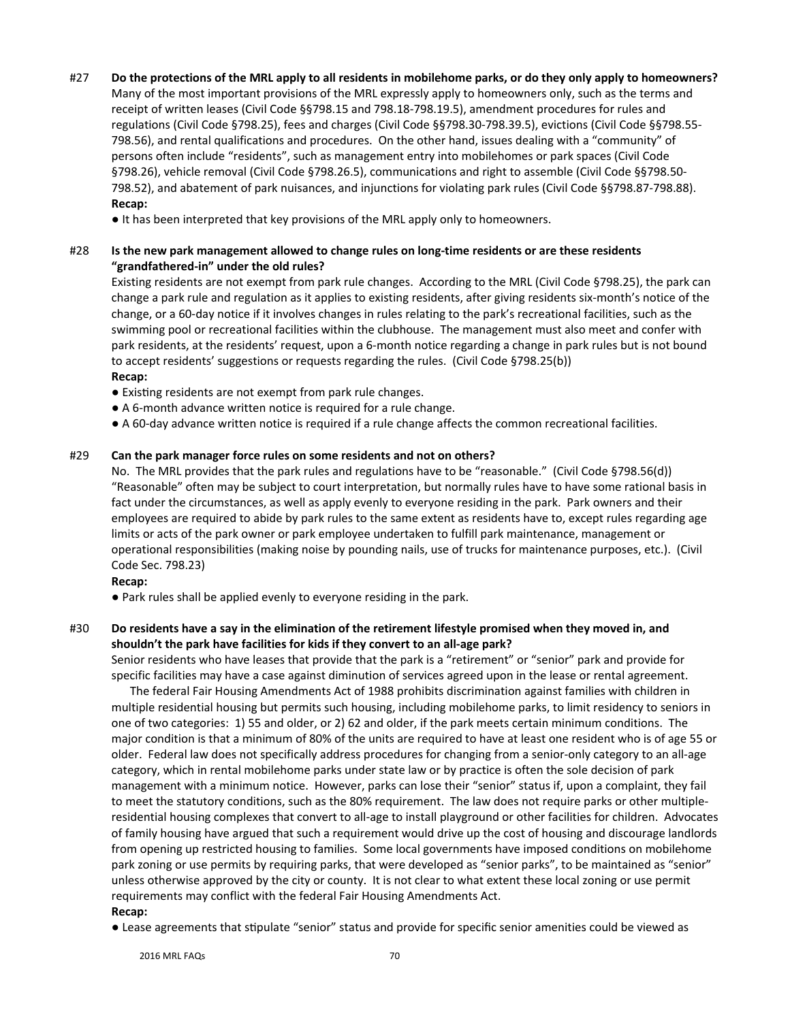#27 **Do the protections of the MRL apply to all residents in mobilehome parks, or do they only apply to homeowners?** Many of the most important provisions of the MRL expressly apply to homeowners only, such as the terms and receipt of written leases (Civil Code §§798.15 and 798.18-798.19.5), amendment procedures for rules and regulations (Civil Code §798.25), fees and charges (Civil Code §§798.30-798.39.5), evictions (Civil Code §§798.55- 798.56), and rental qualifications and procedures. On the other hand, issues dealing with a "community" of persons often include "residents", such as management entry into mobilehomes or park spaces (Civil Code §798.26), vehicle removal (Civil Code §798.26.5), communications and right to assemble (Civil Code §§798.50- 798.52), and abatement of park nuisances, and injunctions for violating park rules (Civil Code §§798.87-798.88). **Recap:** 

● It has been interpreted that key provisions of the MRL apply only to homeowners.

## #28 **Is the new park management allowed to change rules on long-time residents or are these residents "grandfathered-in" under the old rules?**

 Existing residents are not exempt from park rule changes. According to the MRL (Civil Code §798.25), the park can change a park rule and regulation as it applies to existing residents, after giving residents six-month's notice of the change, or a 60-day notice if it involves changes in rules relating to the park's recreational facilities, such as the swimming pool or recreational facilities within the clubhouse. The management must also meet and confer with park residents, at the residents' request, upon a 6-month notice regarding a change in park rules but is not bound to accept residents' suggestions or requests regarding the rules. (Civil Code §798.25(b)) **Recap:** 

- Existing residents are not exempt from park rule changes.
- A 6-month advance written notice is required for a rule change.
- A 60-day advance written notice is required if a rule change affects the common recreational facilities.

#### #29 **Can the park manager force rules on some residents and not on others?**

 No. The MRL provides that the park rules and regulations have to be "reasonable." (Civil Code §798.56(d)) "Reasonable" often may be subject to court interpretation, but normally rules have to have some rational basis in fact under the circumstances, as well as apply evenly to everyone residing in the park. Park owners and their employees are required to abide by park rules to the same extent as residents have to, except rules regarding age limits or acts of the park owner or park employee undertaken to fulfill park maintenance, management or operational responsibilities (making noise by pounding nails, use of trucks for maintenance purposes, etc.). (Civil Code Sec. 798.23)

**Recap:** 

● Park rules shall be applied evenly to everyone residing in the park.

## #30 **Do residents have a say in the elimination of the retirement lifestyle promised when they moved in, and shouldn't the park have facilities for kids if they convert to an all-age park?**

 Senior residents who have leases that provide that the park is a "retirement" or "senior" park and provide for specific facilities may have a case against diminution of services agreed upon in the lease or rental agreement.

 The federal Fair Housing Amendments Act of 1988 prohibits discrimination against families with children in multiple residential housing but permits such housing, including mobilehome parks, to limit residency to seniors in one of two categories: 1) 55 and older, or 2) 62 and older, if the park meets certain minimum conditions. The major condition is that a minimum of 80% of the units are required to have at least one resident who is of age 55 or older. Federal law does not specifically address procedures for changing from a senior-only category to an all-age category, which in rental mobilehome parks under state law or by practice is often the sole decision of park management with a minimum notice. However, parks can lose their "senior" status if, upon a complaint, they fail to meet the statutory conditions, such as the 80% requirement. The law does not require parks or other multipleresidential housing complexes that convert to all-age to install playground or other facilities for children. Advocates of family housing have argued that such a requirement would drive up the cost of housing and discourage landlords from opening up restricted housing to families. Some local governments have imposed conditions on mobilehome park zoning or use permits by requiring parks, that were developed as "senior parks", to be maintained as "senior" unless otherwise approved by the city or county. It is not clear to what extent these local zoning or use permit requirements may conflict with the federal Fair Housing Amendments Act. **Recap:** 

● Lease agreements that sƟpulate "senior" status and provide for specific senior amenities could be viewed as

2016 MRL FAQs 70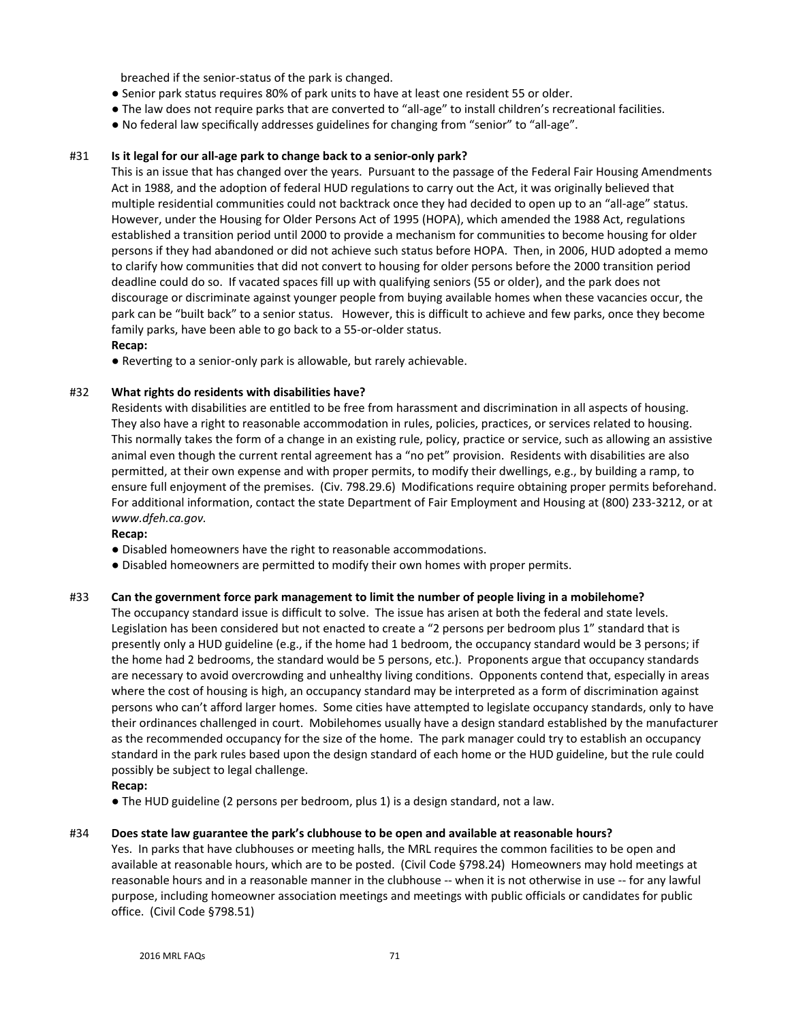breached if the senior-status of the park is changed.

- Senior park status requires 80% of park units to have at least one resident 55 or older.
- The law does not require parks that are converted to "all-age" to install children's recreational facilities.
- No federal law specifically addresses guidelines for changing from "senior" to "all-age".

#### #31 **Is it legal for our all-age park to change back to a senior-only park?**

 This is an issue that has changed over the years. Pursuant to the passage of the Federal Fair Housing Amendments Act in 1988, and the adoption of federal HUD regulations to carry out the Act, it was originally believed that multiple residential communities could not backtrack once they had decided to open up to an "all-age" status. However, under the Housing for Older Persons Act of 1995 (HOPA), which amended the 1988 Act, regulations established a transition period until 2000 to provide a mechanism for communities to become housing for older persons if they had abandoned or did not achieve such status before HOPA. Then, in 2006, HUD adopted a memo to clarify how communities that did not convert to housing for older persons before the 2000 transition period deadline could do so. If vacated spaces fill up with qualifying seniors (55 or older), and the park does not discourage or discriminate against younger people from buying available homes when these vacancies occur, the park can be "built back" to a senior status. However, this is difficult to achieve and few parks, once they become family parks, have been able to go back to a 55-or-older status.

#### **Recap:**

• Reverting to a senior-only park is allowable, but rarely achievable.

#### #32 **What rights do residents with disabilities have?**

 Residents with disabilities are entitled to be free from harassment and discrimination in all aspects of housing. They also have a right to reasonable accommodation in rules, policies, practices, or services related to housing. This normally takes the form of a change in an existing rule, policy, practice or service, such as allowing an assistive animal even though the current rental agreement has a "no pet" provision. Residents with disabilities are also permitted, at their own expense and with proper permits, to modify their dwellings, e.g., by building a ramp, to ensure full enjoyment of the premises. (Civ. 798.29.6) Modifications require obtaining proper permits beforehand. For additional information, contact the state Department of Fair Employment and Housing at (800) 233-3212, or at *www.dfeh.ca.gov.*

**Recap:** 

- Disabled homeowners have the right to reasonable accommodations.
- Disabled homeowners are permitted to modify their own homes with proper permits.

#### #33 **Can the government force park management to limit the number of people living in a mobilehome?**

 The occupancy standard issue is difficult to solve. The issue has arisen at both the federal and state levels. Legislation has been considered but not enacted to create a "2 persons per bedroom plus 1" standard that is presently only a HUD guideline (e.g., if the home had 1 bedroom, the occupancy standard would be 3 persons; if the home had 2 bedrooms, the standard would be 5 persons, etc.). Proponents argue that occupancy standards are necessary to avoid overcrowding and unhealthy living conditions. Opponents contend that, especially in areas where the cost of housing is high, an occupancy standard may be interpreted as a form of discrimination against persons who can't afford larger homes. Some cities have attempted to legislate occupancy standards, only to have their ordinances challenged in court. Mobilehomes usually have a design standard established by the manufacturer as the recommended occupancy for the size of the home. The park manager could try to establish an occupancy standard in the park rules based upon the design standard of each home or the HUD guideline, but the rule could possibly be subject to legal challenge.

#### **Recap:**

● The HUD guideline (2 persons per bedroom, plus 1) is a design standard, not a law.

#### #34 **Does state law guarantee the park's clubhouse to be open and available at reasonable hours?**

 Yes. In parks that have clubhouses or meeting halls, the MRL requires the common facilities to be open and available at reasonable hours, which are to be posted. (Civil Code §798.24) Homeowners may hold meetings at reasonable hours and in a reasonable manner in the clubhouse -- when it is not otherwise in use -- for any lawful purpose, including homeowner association meetings and meetings with public officials or candidates for public office. (Civil Code §798.51)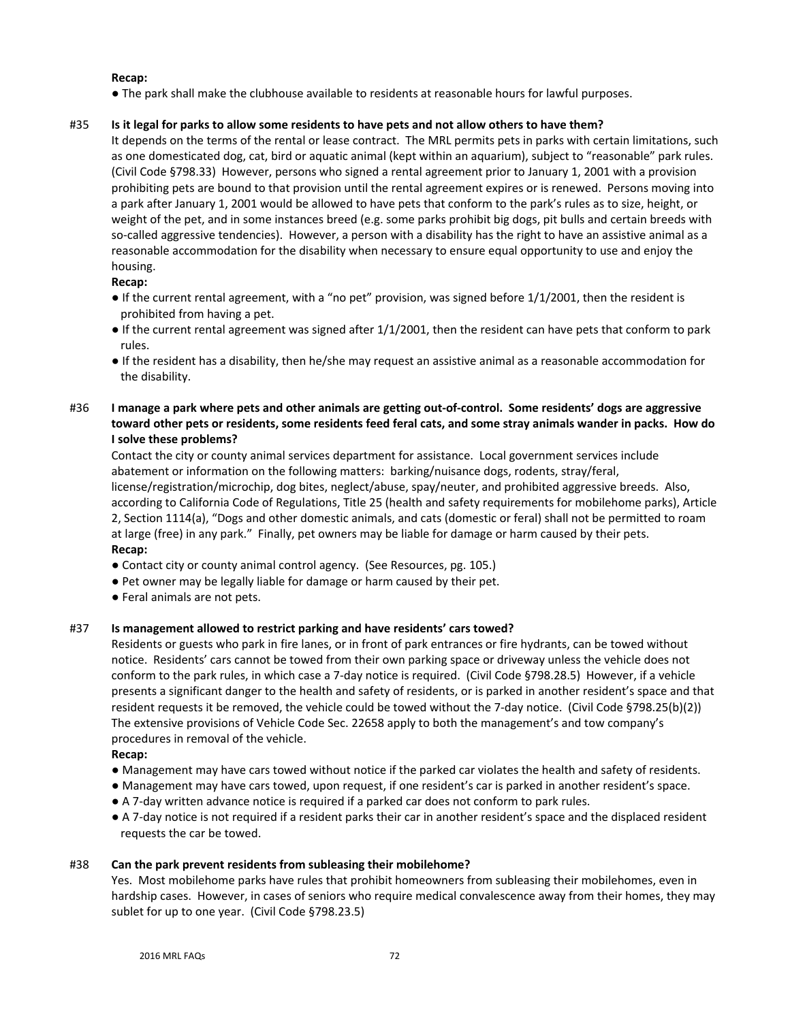#### **Recap:**

● The park shall make the clubhouse available to residents at reasonable hours for lawful purposes.

### #35 **Is it legal for parks to allow some residents to have pets and not allow others to have them?**

 It depends on the terms of the rental or lease contract. The MRL permits pets in parks with certain limitations, such as one domesticated dog, cat, bird or aquatic animal (kept within an aquarium), subject to "reasonable" park rules. (Civil Code §798.33) However, persons who signed a rental agreement prior to January 1, 2001 with a provision prohibiting pets are bound to that provision until the rental agreement expires or is renewed. Persons moving into a park after January 1, 2001 would be allowed to have pets that conform to the park's rules as to size, height, or weight of the pet, and in some instances breed (e.g. some parks prohibit big dogs, pit bulls and certain breeds with so-called aggressive tendencies). However, a person with a disability has the right to have an assistive animal as a reasonable accommodation for the disability when necessary to ensure equal opportunity to use and enjoy the housing.

#### **Recap:**

- If the current rental agreement, with a "no pet" provision, was signed before 1/1/2001, then the resident is prohibited from having a pet.
- If the current rental agreement was signed after 1/1/2001, then the resident can have pets that conform to park rules.
- If the resident has a disability, then he/she may request an assistive animal as a reasonable accommodation for the disability.

## #36 **I manage a park where pets and other animals are getting out-of-control. Some residents' dogs are aggressive toward other pets or residents, some residents feed feral cats, and some stray animals wander in packs. How do I solve these problems?**

 Contact the city or county animal services department for assistance. Local government services include abatement or information on the following matters: barking/nuisance dogs, rodents, stray/feral, license/registration/microchip, dog bites, neglect/abuse, spay/neuter, and prohibited aggressive breeds. Also, according to California Code of Regulations, Title 25 (health and safety requirements for mobilehome parks), Article 2, Section 1114(a), "Dogs and other domestic animals, and cats (domestic or feral) shall not be permitted to roam at large (free) in any park." Finally, pet owners may be liable for damage or harm caused by their pets. **Recap:** 

- Contact city or county animal control agency. (See Resources, pg. 105.)
- Pet owner may be legally liable for damage or harm caused by their pet.
- Feral animals are not pets.

#### #37 **Is management allowed to restrict parking and have residents' cars towed?**

 Residents or guests who park in fire lanes, or in front of park entrances or fire hydrants, can be towed without notice. Residents' cars cannot be towed from their own parking space or driveway unless the vehicle does not conform to the park rules, in which case a 7-day notice is required. (Civil Code §798.28.5) However, if a vehicle presents a significant danger to the health and safety of residents, or is parked in another resident's space and that resident requests it be removed, the vehicle could be towed without the 7-day notice. (Civil Code §798.25(b)(2)) The extensive provisions of Vehicle Code Sec. 22658 apply to both the management's and tow company's procedures in removal of the vehicle.

**Recap:** 

- Management may have cars towed without notice if the parked car violates the health and safety of residents.
- Management may have cars towed, upon request, if one resident's car is parked in another resident's space.
- A 7-day written advance notice is required if a parked car does not conform to park rules.
- A 7-day notice is not required if a resident parks their car in another resident's space and the displaced resident requests the car be towed.

#### #38 **Can the park prevent residents from subleasing their mobilehome?**

 Yes. Most mobilehome parks have rules that prohibit homeowners from subleasing their mobilehomes, even in hardship cases. However, in cases of seniors who require medical convalescence away from their homes, they may sublet for up to one year. (Civil Code §798.23.5)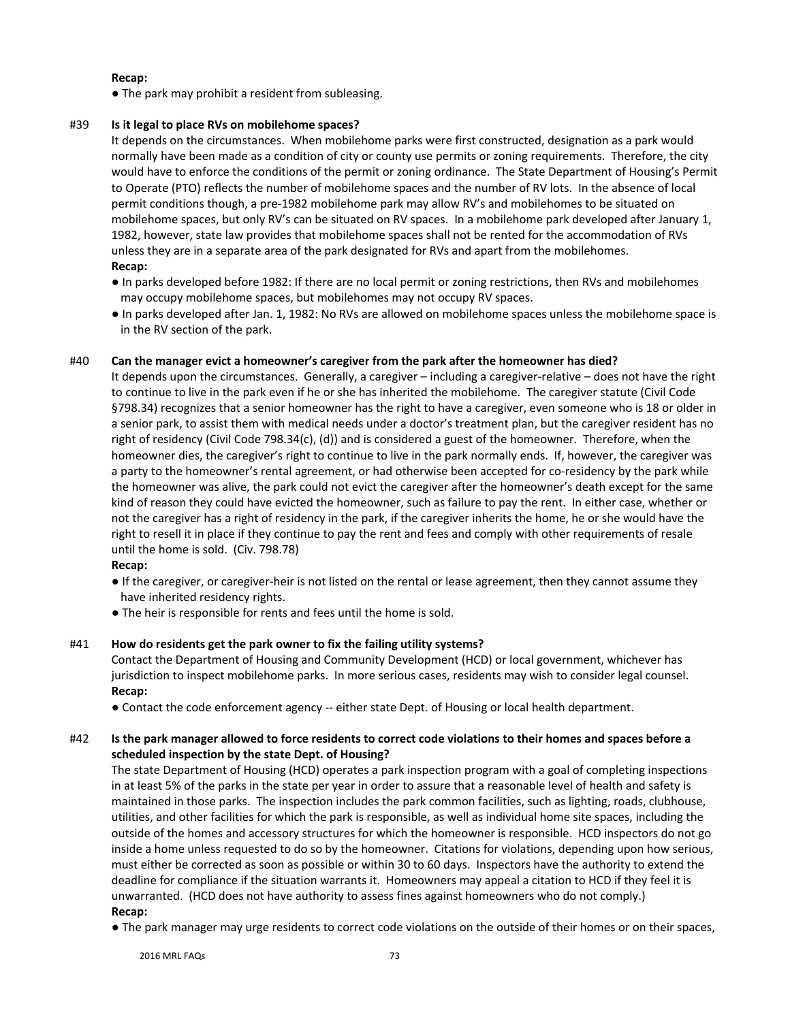#### **Recap:**

• The park may prohibit a resident from subleasing.

### #39 **Is it legal to place RVs on mobilehome spaces?**

 It depends on the circumstances. When mobilehome parks were first constructed, designation as a park would normally have been made as a condition of city or county use permits or zoning requirements. Therefore, the city would have to enforce the conditions of the permit or zoning ordinance. The State Department of Housing's Permit to Operate (PTO) reflects the number of mobilehome spaces and the number of RV lots. In the absence of local permit conditions though, a pre-1982 mobilehome park may allow RV's and mobilehomes to be situated on mobilehome spaces, but only RV's can be situated on RV spaces. In a mobilehome park developed after January 1, 1982, however, state law provides that mobilehome spaces shall not be rented for the accommodation of RVs unless they are in a separate area of the park designated for RVs and apart from the mobilehomes. **Recap:** 

- In parks developed before 1982: If there are no local permit or zoning restrictions, then RVs and mobilehomes may occupy mobilehome spaces, but mobilehomes may not occupy RV spaces.
- In parks developed after Jan. 1, 1982: No RVs are allowed on mobilehome spaces unless the mobilehome space is in the RV section of the park.

#### #40 **Can the manager evict a homeowner's caregiver from the park after the homeowner has died?**

 It depends upon the circumstances. Generally, a caregiver – including a caregiver-relative – does not have the right to continue to live in the park even if he or she has inherited the mobilehome. The caregiver statute (Civil Code §798.34) recognizes that a senior homeowner has the right to have a caregiver, even someone who is 18 or older in a senior park, to assist them with medical needs under a doctor's treatment plan, but the caregiver resident has no right of residency (Civil Code 798.34(c), (d)) and is considered a guest of the homeowner. Therefore, when the homeowner dies, the caregiver's right to continue to live in the park normally ends. If, however, the caregiver was a party to the homeowner's rental agreement, or had otherwise been accepted for co-residency by the park while the homeowner was alive, the park could not evict the caregiver after the homeowner's death except for the same kind of reason they could have evicted the homeowner, such as failure to pay the rent. In either case, whether or not the caregiver has a right of residency in the park, if the caregiver inherits the home, he or she would have the right to resell it in place if they continue to pay the rent and fees and comply with other requirements of resale until the home is sold. (Civ. 798.78)

#### **Recap:**

- If the caregiver, or caregiver-heir is not listed on the rental or lease agreement, then they cannot assume they have inherited residency rights.
- The heir is responsible for rents and fees until the home is sold.

## #41 **How do residents get the park owner to fix the failing utility systems?**

 Contact the Department of Housing and Community Development (HCD) or local government, whichever has jurisdiction to inspect mobilehome parks. In more serious cases, residents may wish to consider legal counsel. **Recap:** 

● Contact the code enforcement agency -- either state Dept. of Housing or local health department.

## #42 **Is the park manager allowed to force residents to correct code violations to their homes and spaces before a scheduled inspection by the state Dept. of Housing?**

 The state Department of Housing (HCD) operates a park inspection program with a goal of completing inspections in at least 5% of the parks in the state per year in order to assure that a reasonable level of health and safety is maintained in those parks. The inspection includes the park common facilities, such as lighting, roads, clubhouse, utilities, and other facilities for which the park is responsible, as well as individual home site spaces, including the outside of the homes and accessory structures for which the homeowner is responsible. HCD inspectors do not go inside a home unless requested to do so by the homeowner. Citations for violations, depending upon how serious, must either be corrected as soon as possible or within 30 to 60 days. Inspectors have the authority to extend the deadline for compliance if the situation warrants it. Homeowners may appeal a citation to HCD if they feel it is unwarranted. (HCD does not have authority to assess fines against homeowners who do not comply.) **Recap:** 

● The park manager may urge residents to correct code violations on the outside of their homes or on their spaces,

2016 MRL FAQs 73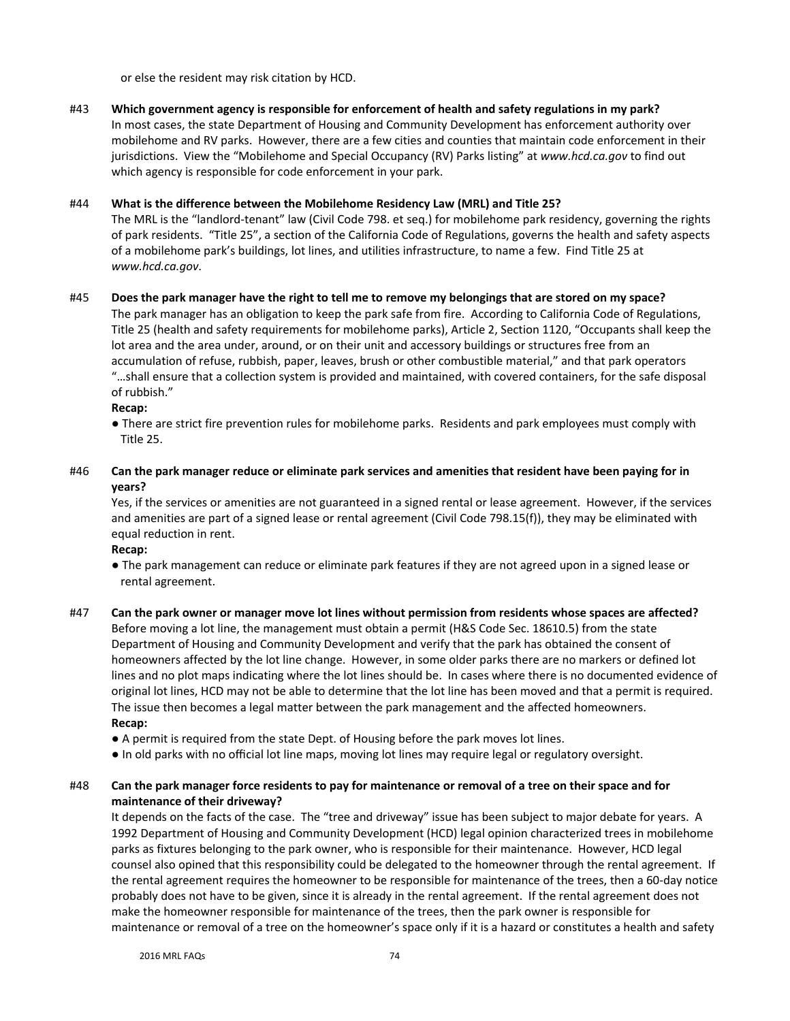or else the resident may risk citation by HCD.

#43 **Which government agency is responsible for enforcement of health and safety regulations in my park?** In most cases, the state Department of Housing and Community Development has enforcement authority over mobilehome and RV parks. However, there are a few cities and counties that maintain code enforcement in their jurisdictions. View the "Mobilehome and Special Occupancy (RV) Parks listing" at *www.hcd.ca.gov* to find out which agency is responsible for code enforcement in your park.

#### #44 **What is the difference between the Mobilehome Residency Law (MRL) and Title 25?**

 The MRL is the "landlord-tenant" law (Civil Code 798. et seq.) for mobilehome park residency, governing the rights of park residents. "Title 25", a section of the California Code of Regulations, governs the health and safety aspects of a mobilehome park's buildings, lot lines, and utilities infrastructure, to name a few. Find Title 25 at *www.hcd.ca.gov*.

#### #45 **Does the park manager have the right to tell me to remove my belongings that are stored on my space?**

 The park manager has an obligation to keep the park safe from fire. According to California Code of Regulations, Title 25 (health and safety requirements for mobilehome parks), Article 2, Section 1120, "Occupants shall keep the lot area and the area under, around, or on their unit and accessory buildings or structures free from an accumulation of refuse, rubbish, paper, leaves, brush or other combustible material," and that park operators "…shall ensure that a collection system is provided and maintained, with covered containers, for the safe disposal of rubbish."

**Recap:** 

- There are strict fire prevention rules for mobilehome parks. Residents and park employees must comply with Title 25.
- #46 **Can the park manager reduce or eliminate park services and amenities that resident have been paying for in years?**

 Yes, if the services or amenities are not guaranteed in a signed rental or lease agreement. However, if the services and amenities are part of a signed lease or rental agreement (Civil Code 798.15(f)), they may be eliminated with equal reduction in rent.

**Recap:** 

- The park management can reduce or eliminate park features if they are not agreed upon in a signed lease or rental agreement.
- #47 **Can the park owner or manager move lot lines without permission from residents whose spaces are affected?** Before moving a lot line, the management must obtain a permit (H&S Code Sec. 18610.5) from the state Department of Housing and Community Development and verify that the park has obtained the consent of homeowners affected by the lot line change. However, in some older parks there are no markers or defined lot lines and no plot maps indicating where the lot lines should be. In cases where there is no documented evidence of original lot lines, HCD may not be able to determine that the lot line has been moved and that a permit is required. The issue then becomes a legal matter between the park management and the affected homeowners. **Recap:** 
	- A permit is required from the state Dept. of Housing before the park moves lot lines.
	- In old parks with no official lot line maps, moving lot lines may require legal or regulatory oversight.

## #48 **Can the park manager force residents to pay for maintenance or removal of a tree on their space and for maintenance of their driveway?**

 It depends on the facts of the case. The "tree and driveway" issue has been subject to major debate for years. A 1992 Department of Housing and Community Development (HCD) legal opinion characterized trees in mobilehome parks as fixtures belonging to the park owner, who is responsible for their maintenance. However, HCD legal counsel also opined that this responsibility could be delegated to the homeowner through the rental agreement. If the rental agreement requires the homeowner to be responsible for maintenance of the trees, then a 60-day notice probably does not have to be given, since it is already in the rental agreement. If the rental agreement does not make the homeowner responsible for maintenance of the trees, then the park owner is responsible for maintenance or removal of a tree on the homeowner's space only if it is a hazard or constitutes a health and safety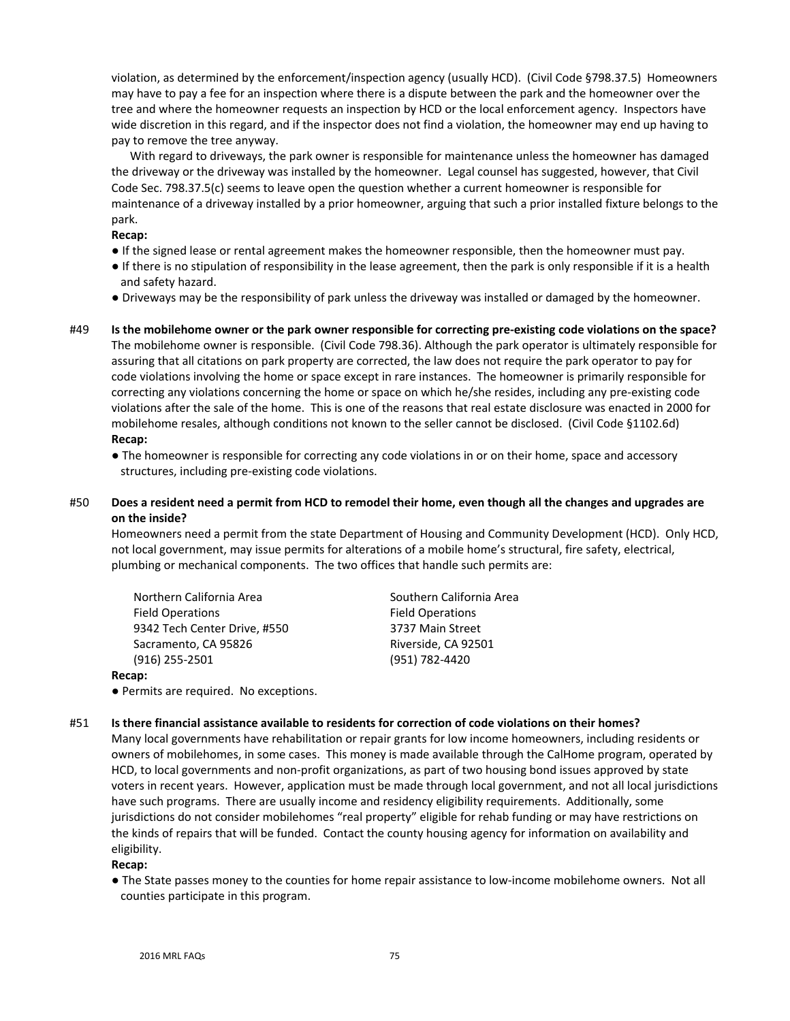violation, as determined by the enforcement/inspection agency (usually HCD). (Civil Code §798.37.5) Homeowners may have to pay a fee for an inspection where there is a dispute between the park and the homeowner over the tree and where the homeowner requests an inspection by HCD or the local enforcement agency. Inspectors have wide discretion in this regard, and if the inspector does not find a violation, the homeowner may end up having to pay to remove the tree anyway.

 With regard to driveways, the park owner is responsible for maintenance unless the homeowner has damaged the driveway or the driveway was installed by the homeowner. Legal counsel has suggested, however, that Civil Code Sec. 798.37.5(c) seems to leave open the question whether a current homeowner is responsible for maintenance of a driveway installed by a prior homeowner, arguing that such a prior installed fixture belongs to the park.

**Recap:** 

- If the signed lease or rental agreement makes the homeowner responsible, then the homeowner must pay.
- If there is no stipulation of responsibility in the lease agreement, then the park is only responsible if it is a health and safety hazard.
- Driveways may be the responsibility of park unless the driveway was installed or damaged by the homeowner.
- #49 **Is the mobilehome owner or the park owner responsible for correcting pre-existing code violations on the space?** The mobilehome owner is responsible. (Civil Code 798.36). Although the park operator is ultimately responsible for assuring that all citations on park property are corrected, the law does not require the park operator to pay for code violations involving the home or space except in rare instances. The homeowner is primarily responsible for correcting any violations concerning the home or space on which he/she resides, including any pre-existing code violations after the sale of the home. This is one of the reasons that real estate disclosure was enacted in 2000 for mobilehome resales, although conditions not known to the seller cannot be disclosed. (Civil Code §1102.6d) **Recap:** 
	- The homeowner is responsible for correcting any code violations in or on their home, space and accessory structures, including pre-existing code violations.

## #50 **Does a resident need a permit from HCD to remodel their home, even though all the changes and upgrades are on the inside?**

 Homeowners need a permit from the state Department of Housing and Community Development (HCD). Only HCD, not local government, may issue permits for alterations of a mobile home's structural, fire safety, electrical, plumbing or mechanical components. The two offices that handle such permits are:

| Northern California Area     | Southern California Area |  |
|------------------------------|--------------------------|--|
| <b>Field Operations</b>      | <b>Field Operations</b>  |  |
| 9342 Tech Center Drive, #550 | 3737 Main Street         |  |
| Sacramento, CA 95826         | Riverside, CA 92501      |  |
| $(916)$ 255-2501             | (951) 782-4420           |  |
|                              |                          |  |

**Recap:** 

● Permits are required. No exceptions.

#### #51 **Is there financial assistance available to residents for correction of code violations on their homes?**

 Many local governments have rehabilitation or repair grants for low income homeowners, including residents or owners of mobilehomes, in some cases. This money is made available through the CalHome program, operated by HCD, to local governments and non-profit organizations, as part of two housing bond issues approved by state voters in recent years. However, application must be made through local government, and not all local jurisdictions have such programs. There are usually income and residency eligibility requirements. Additionally, some jurisdictions do not consider mobilehomes "real property" eligible for rehab funding or may have restrictions on the kinds of repairs that will be funded. Contact the county housing agency for information on availability and eligibility.

#### **Recap:**

● The State passes money to the counties for home repair assistance to low-income mobilehome owners. Not all counties participate in this program.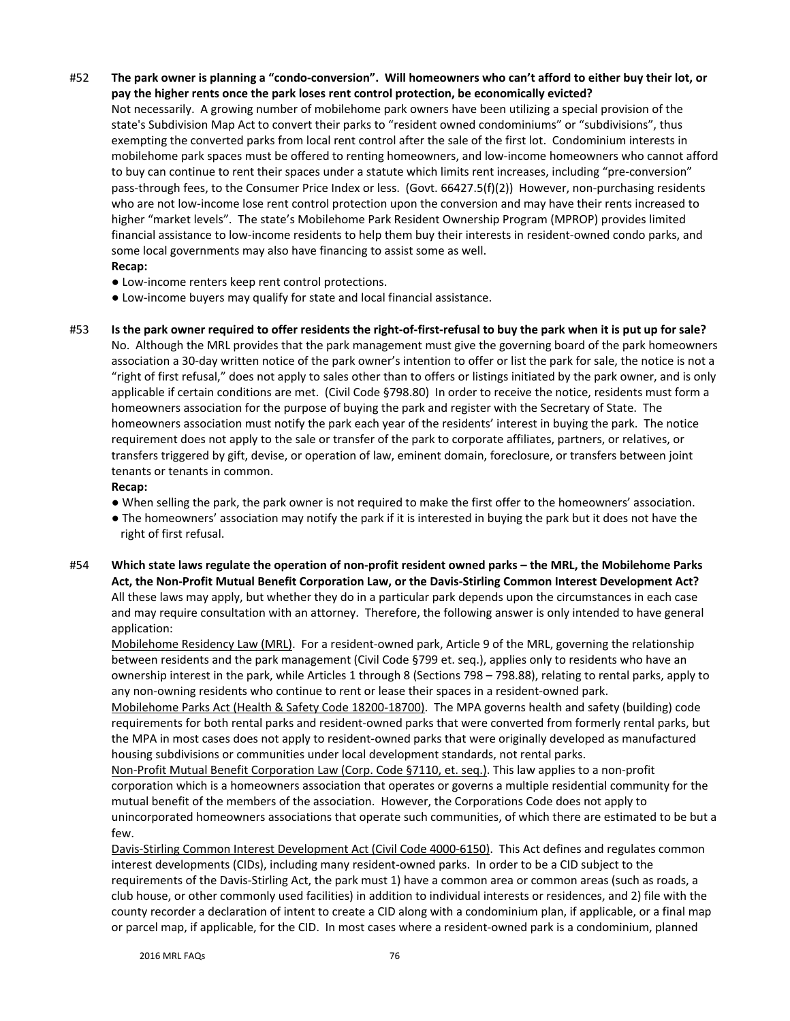#52 **The park owner is planning a "condo-conversion". Will homeowners who can't afford to either buy their lot, or pay the higher rents once the park loses rent control protection, be economically evicted?**

 Not necessarily. A growing number of mobilehome park owners have been utilizing a special provision of the state's Subdivision Map Act to convert their parks to "resident owned condominiums" or "subdivisions", thus exempting the converted parks from local rent control after the sale of the first lot. Condominium interests in mobilehome park spaces must be offered to renting homeowners, and low-income homeowners who cannot afford to buy can continue to rent their spaces under a statute which limits rent increases, including "pre-conversion" pass-through fees, to the Consumer Price Index or less. (Govt. 66427.5(f)(2)) However, non-purchasing residents who are not low-income lose rent control protection upon the conversion and may have their rents increased to higher "market levels". The state's Mobilehome Park Resident Ownership Program (MPROP) provides limited financial assistance to low-income residents to help them buy their interests in resident-owned condo parks, and some local governments may also have financing to assist some as well.

- **Recap:**
- Low-income renters keep rent control protections.
- Low-income buyers may qualify for state and local financial assistance.
- #53 **Is the park owner required to offer residents the right-of-first-refusal to buy the park when it is put up for sale?** No. Although the MRL provides that the park management must give the governing board of the park homeowners association a 30-day written notice of the park owner's intention to offer or list the park for sale, the notice is not a "right of first refusal," does not apply to sales other than to offers or listings initiated by the park owner, and is only applicable if certain conditions are met. (Civil Code §798.80) In order to receive the notice, residents must form a homeowners association for the purpose of buying the park and register with the Secretary of State. The homeowners association must notify the park each year of the residents' interest in buying the park. The notice requirement does not apply to the sale or transfer of the park to corporate affiliates, partners, or relatives, or transfers triggered by gift, devise, or operation of law, eminent domain, foreclosure, or transfers between joint tenants or tenants in common.

#### **Recap:**

- When selling the park, the park owner is not required to make the first offer to the homeowners' association.
- The homeowners' association may notify the park if it is interested in buying the park but it does not have the right of first refusal.
- #54 **Which state laws regulate the operation of non-profit resident owned parks the MRL, the Mobilehome Parks Act, the Non-Profit Mutual Benefit Corporation Law, or the Davis-Stirling Common Interest Development Act?**  All these laws may apply, but whether they do in a particular park depends upon the circumstances in each case and may require consultation with an attorney. Therefore, the following answer is only intended to have general application:

Mobilehome Residency Law (MRL). For a resident-owned park, Article 9 of the MRL, governing the relationship between residents and the park management (Civil Code §799 et. seq.), applies only to residents who have an ownership interest in the park, while Articles 1 through 8 (Sections 798 – 798.88), relating to rental parks, apply to any non-owning residents who continue to rent or lease their spaces in a resident-owned park.

Mobilehome Parks Act (Health & Safety Code 18200-18700). The MPA governs health and safety (building) code requirements for both rental parks and resident-owned parks that were converted from formerly rental parks, but the MPA in most cases does not apply to resident-owned parks that were originally developed as manufactured housing subdivisions or communities under local development standards, not rental parks.

Non-Profit Mutual Benefit Corporation Law (Corp. Code §7110, et. seq.). This law applies to a non-profit corporation which is a homeowners association that operates or governs a multiple residential community for the mutual benefit of the members of the association. However, the Corporations Code does not apply to unincorporated homeowners associations that operate such communities, of which there are estimated to be but a few.

Davis-Stirling Common Interest Development Act (Civil Code 4000-6150). This Act defines and regulates common interest developments (CIDs), including many resident-owned parks. In order to be a CID subject to the requirements of the Davis-Stirling Act, the park must 1) have a common area or common areas (such as roads, a club house, or other commonly used facilities) in addition to individual interests or residences, and 2) file with the county recorder a declaration of intent to create a CID along with a condominium plan, if applicable, or a final map or parcel map, if applicable, for the CID. In most cases where a resident-owned park is a condominium, planned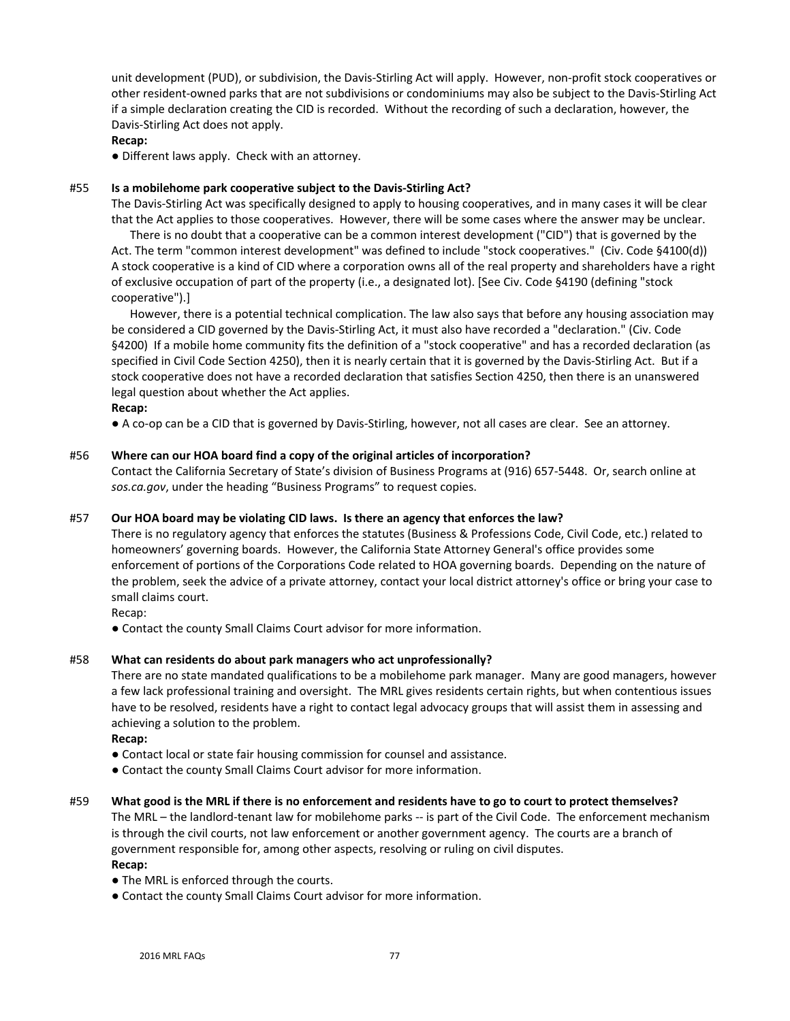unit development (PUD), or subdivision, the Davis-Stirling Act will apply. However, non-profit stock cooperatives or other resident-owned parks that are not subdivisions or condominiums may also be subject to the Davis-Stirling Act if a simple declaration creating the CID is recorded. Without the recording of such a declaration, however, the Davis-Stirling Act does not apply.

#### **Recap:**

• Different laws apply. Check with an attorney.

#### #55 **Is a mobilehome park cooperative subject to the Davis-Stirling Act?**

 The Davis-Stirling Act was specifically designed to apply to housing cooperatives, and in many cases it will be clear that the Act applies to those cooperatives. However, there will be some cases where the answer may be unclear.

 There is no doubt that a cooperative can be a common interest development ("CID") that is governed by the Act. The term "common interest development" was defined to include "stock cooperatives." (Civ. Code §4100(d)) A stock cooperative is a kind of CID where a corporation owns all of the real property and shareholders have a right of exclusive occupation of part of the property (i.e., a designated lot). [See Civ. Code §4190 (defining "stock cooperative").]

 However, there is a potential technical complication. The law also says that before any housing association may be considered a CID governed by the Davis-Stirling Act, it must also have recorded a "declaration." (Civ. Code §4200) If a mobile home community fits the definition of a "stock cooperative" and has a recorded declaration (as specified in Civil Code Section 4250), then it is nearly certain that it is governed by the Davis-Stirling Act. But if a stock cooperative does not have a recorded declaration that satisfies Section 4250, then there is an unanswered legal question about whether the Act applies.

### **Recap:**

● A co-op can be a CID that is governed by Davis-Stirling, however, not all cases are clear. See an attorney.

#### #56 **Where can our HOA board find a copy of the original articles of incorporation?**

 Contact the California Secretary of State's division of Business Programs at (916) 657-5448. Or, search online at *sos.ca.gov*, under the heading "Business Programs" to request copies.

### #57 **Our HOA board may be violating CID laws. Is there an agency that enforces the law?**

 There is no regulatory agency that enforces the statutes (Business & Professions Code, Civil Code, etc.) related to homeowners' governing boards. However, the California State Attorney General's office provides some enforcement of portions of the Corporations Code related to HOA governing boards. Depending on the nature of the problem, seek the advice of a private attorney, contact your local district attorney's office or bring your case to small claims court.

Recap:

• Contact the county Small Claims Court advisor for more information.

## #58 **What can residents do about park managers who act unprofessionally?**

 There are no state mandated qualifications to be a mobilehome park manager. Many are good managers, however a few lack professional training and oversight. The MRL gives residents certain rights, but when contentious issues have to be resolved, residents have a right to contact legal advocacy groups that will assist them in assessing and achieving a solution to the problem.

**Recap:** 

- Contact local or state fair housing commission for counsel and assistance.
- Contact the county Small Claims Court advisor for more information.

## #59 **What good is the MRL if there is no enforcement and residents have to go to court to protect themselves?**

 The MRL – the landlord-tenant law for mobilehome parks -- is part of the Civil Code. The enforcement mechanism is through the civil courts, not law enforcement or another government agency. The courts are a branch of government responsible for, among other aspects, resolving or ruling on civil disputes.

- The MRL is enforced through the courts.
- Contact the county Small Claims Court advisor for more information.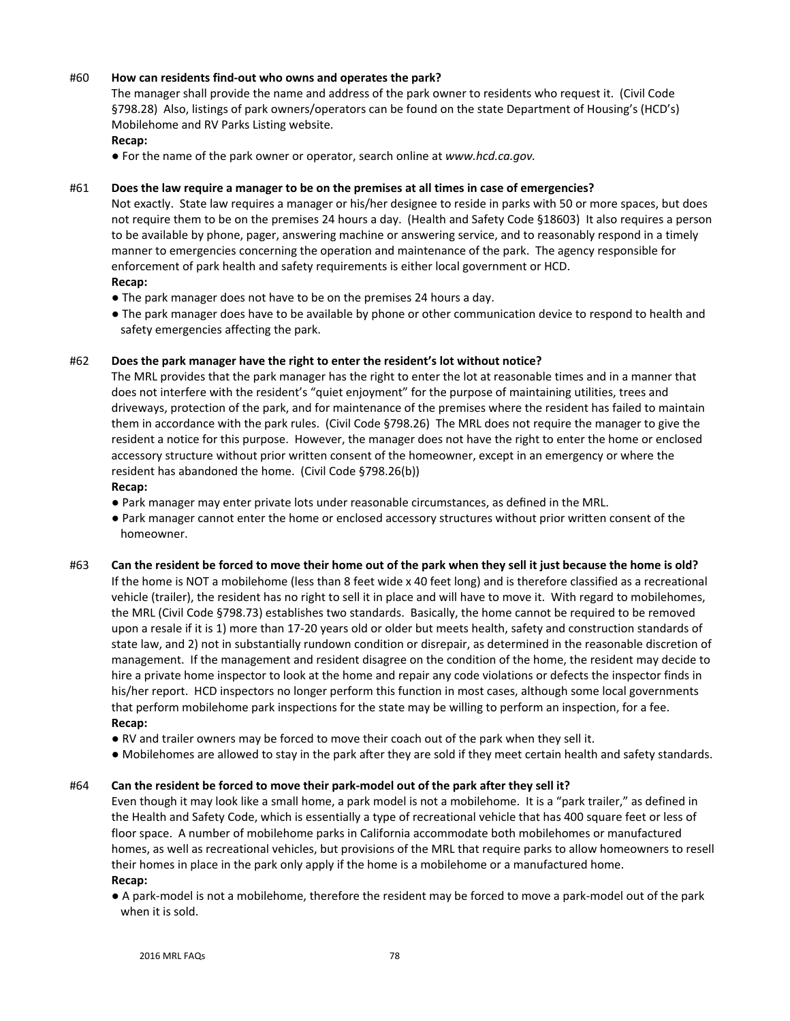### #60 **How can residents find-out who owns and operates the park?**

 The manager shall provide the name and address of the park owner to residents who request it. (Civil Code §798.28) Also, listings of park owners/operators can be found on the state Department of Housing's (HCD's) Mobilehome and RV Parks Listing website.

#### **Recap:**

● For the name of the park owner or operator, search online at *www.hcd.ca.gov.* 

#### #61 **Does the law require a manager to be on the premises at all times in case of emergencies?**

 Not exactly. State law requires a manager or his/her designee to reside in parks with 50 or more spaces, but does not require them to be on the premises 24 hours a day. (Health and Safety Code §18603) It also requires a person to be available by phone, pager, answering machine or answering service, and to reasonably respond in a timely manner to emergencies concerning the operation and maintenance of the park. The agency responsible for enforcement of park health and safety requirements is either local government or HCD. **Recap:** 

- The park manager does not have to be on the premises 24 hours a day.
- The park manager does have to be available by phone or other communication device to respond to health and safety emergencies affecting the park.

#### #62 **Does the park manager have the right to enter the resident's lot without notice?**

 The MRL provides that the park manager has the right to enter the lot at reasonable times and in a manner that does not interfere with the resident's "quiet enjoyment" for the purpose of maintaining utilities, trees and driveways, protection of the park, and for maintenance of the premises where the resident has failed to maintain them in accordance with the park rules. (Civil Code §798.26) The MRL does not require the manager to give the resident a notice for this purpose. However, the manager does not have the right to enter the home or enclosed accessory structure without prior written consent of the homeowner, except in an emergency or where the resident has abandoned the home. (Civil Code §798.26(b))

#### **Recap:**

- Park manager may enter private lots under reasonable circumstances, as defined in the MRL.
- Park manager cannot enter the home or enclosed accessory structures without prior written consent of the homeowner.
- #63 **Can the resident be forced to move their home out of the park when they sell it just because the home is old?** If the home is NOT a mobilehome (less than 8 feet wide x 40 feet long) and is therefore classified as a recreational vehicle (trailer), the resident has no right to sell it in place and will have to move it. With regard to mobilehomes, the MRL (Civil Code §798.73) establishes two standards. Basically, the home cannot be required to be removed upon a resale if it is 1) more than 17-20 years old or older but meets health, safety and construction standards of state law, and 2) not in substantially rundown condition or disrepair, as determined in the reasonable discretion of management. If the management and resident disagree on the condition of the home, the resident may decide to hire a private home inspector to look at the home and repair any code violations or defects the inspector finds in his/her report. HCD inspectors no longer perform this function in most cases, although some local governments that perform mobilehome park inspections for the state may be willing to perform an inspection, for a fee. **Recap:** 
	- RV and trailer owners may be forced to move their coach out of the park when they sell it.
	- Mobilehomes are allowed to stay in the park after they are sold if they meet certain health and safety standards.

#### #64 **Can the resident be forced to move their park-model out of the park after they sell it?**

 Even though it may look like a small home, a park model is not a mobilehome. It is a "park trailer," as defined in the Health and Safety Code, which is essentially a type of recreational vehicle that has 400 square feet or less of floor space. A number of mobilehome parks in California accommodate both mobilehomes or manufactured homes, as well as recreational vehicles, but provisions of the MRL that require parks to allow homeowners to resell their homes in place in the park only apply if the home is a mobilehome or a manufactured home. **Recap:**

● A park-model is not a mobilehome, therefore the resident may be forced to move a park-model out of the park when it is sold.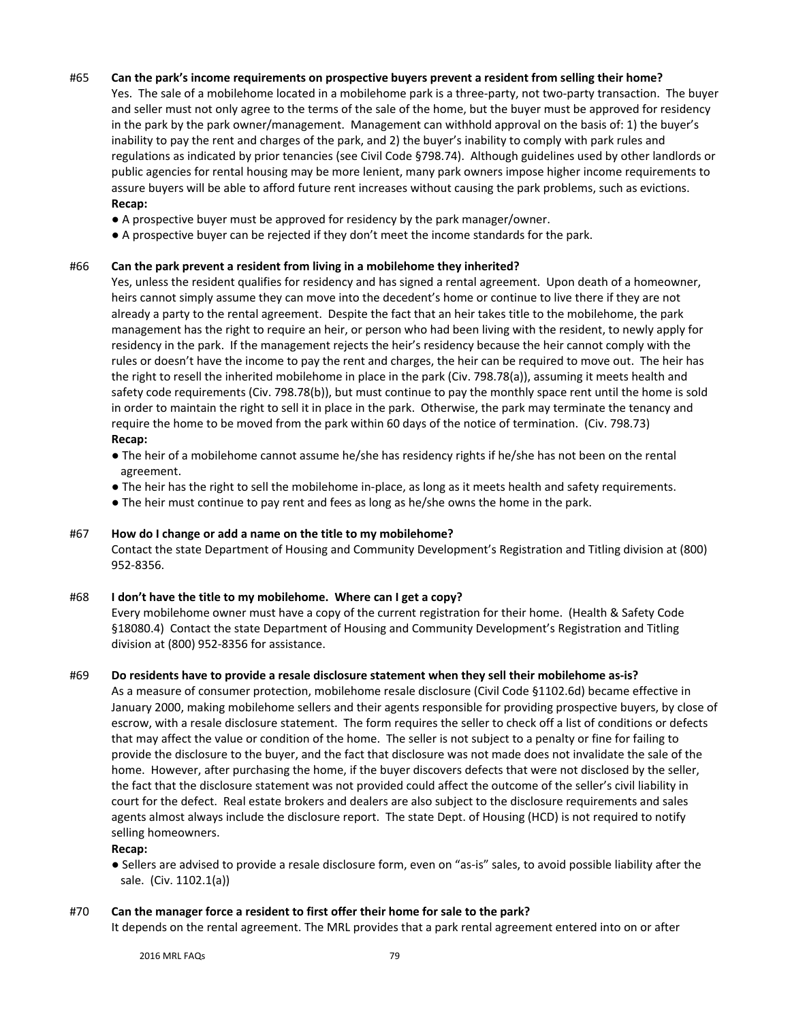### #65 **Can the park's income requirements on prospective buyers prevent a resident from selling their home?**

 Yes. The sale of a mobilehome located in a mobilehome park is a three-party, not two-party transaction. The buyer and seller must not only agree to the terms of the sale of the home, but the buyer must be approved for residency in the park by the park owner/management. Management can withhold approval on the basis of: 1) the buyer's inability to pay the rent and charges of the park, and 2) the buyer's inability to comply with park rules and regulations as indicated by prior tenancies (see Civil Code §798.74). Although guidelines used by other landlords or public agencies for rental housing may be more lenient, many park owners impose higher income requirements to assure buyers will be able to afford future rent increases without causing the park problems, such as evictions. **Recap:** 

- A prospective buyer must be approved for residency by the park manager/owner.
- A prospective buyer can be rejected if they don't meet the income standards for the park.

#### #66 **Can the park prevent a resident from living in a mobilehome they inherited?**

 Yes, unless the resident qualifies for residency and has signed a rental agreement. Upon death of a homeowner, heirs cannot simply assume they can move into the decedent's home or continue to live there if they are not already a party to the rental agreement. Despite the fact that an heir takes title to the mobilehome, the park management has the right to require an heir, or person who had been living with the resident, to newly apply for residency in the park. If the management rejects the heir's residency because the heir cannot comply with the rules or doesn't have the income to pay the rent and charges, the heir can be required to move out. The heir has the right to resell the inherited mobilehome in place in the park (Civ. 798.78(a)), assuming it meets health and safety code requirements (Civ. 798.78(b)), but must continue to pay the monthly space rent until the home is sold in order to maintain the right to sell it in place in the park. Otherwise, the park may terminate the tenancy and require the home to be moved from the park within 60 days of the notice of termination. (Civ. 798.73) **Recap:** 

- The heir of a mobilehome cannot assume he/she has residency rights if he/she has not been on the rental agreement.
- The heir has the right to sell the mobilehome in-place, as long as it meets health and safety requirements.
- The heir must continue to pay rent and fees as long as he/she owns the home in the park.

#### #67 **How do I change or add a name on the title to my mobilehome?**

 Contact the state Department of Housing and Community Development's Registration and Titling division at (800) 952-8356.

#### #68 **I don't have the title to my mobilehome. Where can I get a copy?**

 Every mobilehome owner must have a copy of the current registration for their home. (Health & Safety Code §18080.4) Contact the state Department of Housing and Community Development's Registration and Titling division at (800) 952-8356 for assistance.

#### #69 **Do residents have to provide a resale disclosure statement when they sell their mobilehome as-is?**

 As a measure of consumer protection, mobilehome resale disclosure (Civil Code §1102.6d) became effective in January 2000, making mobilehome sellers and their agents responsible for providing prospective buyers, by close of escrow, with a resale disclosure statement. The form requires the seller to check off a list of conditions or defects that may affect the value or condition of the home. The seller is not subject to a penalty or fine for failing to provide the disclosure to the buyer, and the fact that disclosure was not made does not invalidate the sale of the home. However, after purchasing the home, if the buyer discovers defects that were not disclosed by the seller, the fact that the disclosure statement was not provided could affect the outcome of the seller's civil liability in court for the defect. Real estate brokers and dealers are also subject to the disclosure requirements and sales agents almost always include the disclosure report. The state Dept. of Housing (HCD) is not required to notify selling homeowners.

#### **Recap:**

● Sellers are advised to provide a resale disclosure form, even on "as-is" sales, to avoid possible liability after the sale. (Civ. 1102.1(a))

#### #70 **Can the manager force a resident to first offer their home for sale to the park?**

It depends on the rental agreement. The MRL provides that a park rental agreement entered into on or after